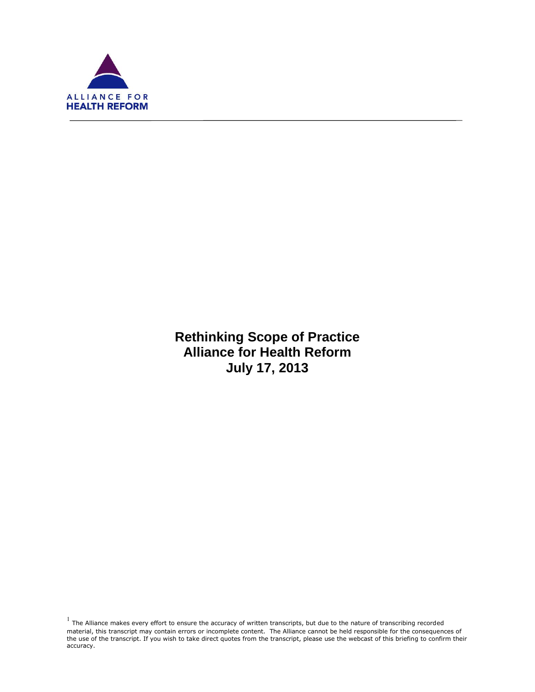

f

**Rethinking Scope of Practice Alliance for Health Reform July 17, 2013**

 $<sup>1</sup>$  The Alliance makes every effort to ensure the accuracy of written transcripts, but due to the nature of transcribing recorded</sup> material, this transcript may contain errors or incomplete content. The Alliance cannot be held responsible for the consequences of the use of the transcript. If you wish to take direct quotes from the transcript, please use the webcast of this briefing to confirm their accuracy.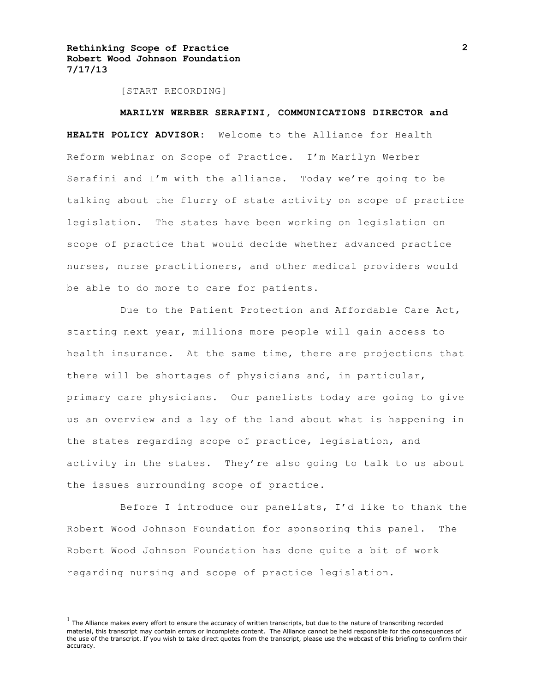[START RECORDING]

#### **MARILYN WERBER SERAFINI, COMMUNICATIONS DIRECTOR and**

**HEALTH POLICY ADVISOR:** Welcome to the Alliance for Health Reform webinar on Scope of Practice. I'm Marilyn Werber Serafini and I'm with the alliance. Today we're going to be talking about the flurry of state activity on scope of practice legislation. The states have been working on legislation on scope of practice that would decide whether advanced practice nurses, nurse practitioners, and other medical providers would be able to do more to care for patients.

Due to the Patient Protection and Affordable Care Act, starting next year, millions more people will gain access to health insurance. At the same time, there are projections that there will be shortages of physicians and, in particular, primary care physicians. Our panelists today are going to give us an overview and a lay of the land about what is happening in the states regarding scope of practice, legislation, and activity in the states. They're also going to talk to us about the issues surrounding scope of practice.

Before I introduce our panelists, I'd like to thank the Robert Wood Johnson Foundation for sponsoring this panel. The Robert Wood Johnson Foundation has done quite a bit of work regarding nursing and scope of practice legislation.

 $<sup>1</sup>$  The Alliance makes every effort to ensure the accuracy of written transcripts, but due to the nature of transcribing recorded</sup> material, this transcript may contain errors or incomplete content. The Alliance cannot be held responsible for the consequences of the use of the transcript. If you wish to take direct quotes from the transcript, please use the webcast of this briefing to confirm their accuracy.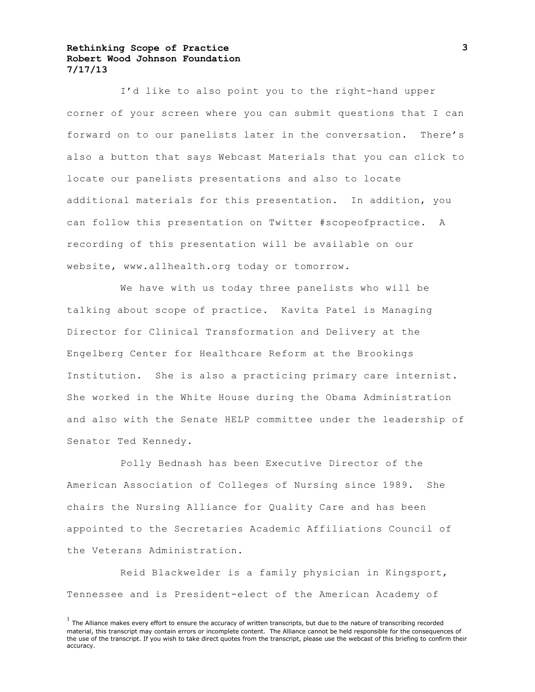I'd like to also point you to the right-hand upper corner of your screen where you can submit questions that I can forward on to our panelists later in the conversation. There's also a button that says Webcast Materials that you can click to locate our panelists presentations and also to locate additional materials for this presentation. In addition, you can follow this presentation on Twitter #scopeofpractice. A recording of this presentation will be available on our website, www.allhealth.org today or tomorrow.

We have with us today three panelists who will be talking about scope of practice. Kavita Patel is Managing Director for Clinical Transformation and Delivery at the Engelberg Center for Healthcare Reform at the Brookings Institution. She is also a practicing primary care internist. She worked in the White House during the Obama Administration and also with the Senate HELP committee under the leadership of Senator Ted Kennedy.

Polly Bednash has been Executive Director of the American Association of Colleges of Nursing since 1989. She chairs the Nursing Alliance for Quality Care and has been appointed to the Secretaries Academic Affiliations Council of the Veterans Administration.

Reid Blackwelder is a family physician in Kingsport, Tennessee and is President-elect of the American Academy of

 $<sup>1</sup>$  The Alliance makes every effort to ensure the accuracy of written transcripts, but due to the nature of transcribing recorded</sup> material, this transcript may contain errors or incomplete content. The Alliance cannot be held responsible for the consequences of the use of the transcript. If you wish to take direct quotes from the transcript, please use the webcast of this briefing to confirm their accuracy.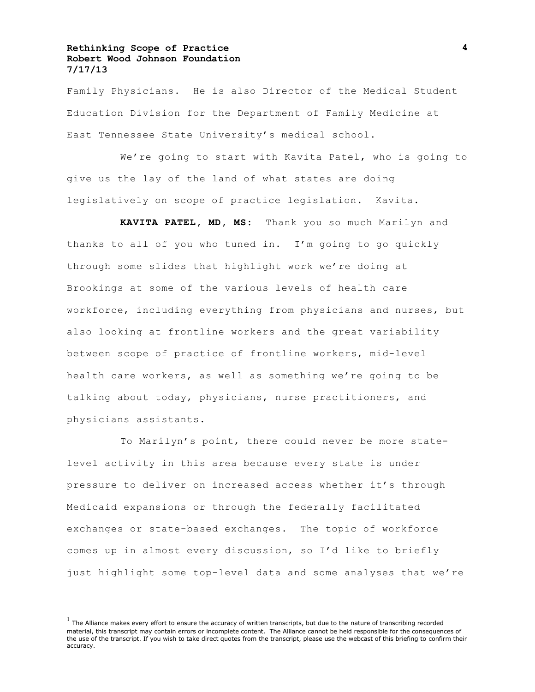Family Physicians. He is also Director of the Medical Student Education Division for the Department of Family Medicine at East Tennessee State University's medical school.

We're going to start with Kavita Patel, who is going to give us the lay of the land of what states are doing legislatively on scope of practice legislation. Kavita.

**KAVITA PATEL, MD, MS:** Thank you so much Marilyn and thanks to all of you who tuned in. I'm going to go quickly through some slides that highlight work we're doing at Brookings at some of the various levels of health care workforce, including everything from physicians and nurses, but also looking at frontline workers and the great variability between scope of practice of frontline workers, mid-level health care workers, as well as something we're going to be talking about today, physicians, nurse practitioners, and physicians assistants.

To Marilyn's point, there could never be more statelevel activity in this area because every state is under pressure to deliver on increased access whether it's through Medicaid expansions or through the federally facilitated exchanges or state-based exchanges. The topic of workforce comes up in almost every discussion, so I'd like to briefly just highlight some top-level data and some analyses that we're

 $<sup>1</sup>$  The Alliance makes every effort to ensure the accuracy of written transcripts, but due to the nature of transcribing recorded</sup> material, this transcript may contain errors or incomplete content. The Alliance cannot be held responsible for the consequences of the use of the transcript. If you wish to take direct quotes from the transcript, please use the webcast of this briefing to confirm their accuracy.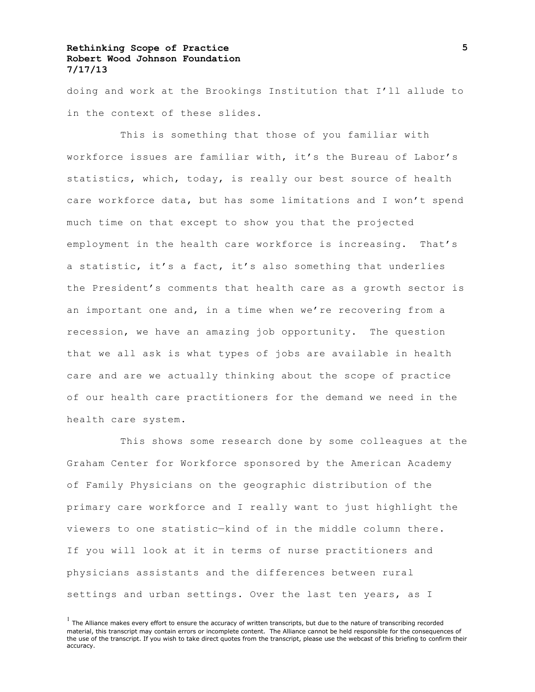doing and work at the Brookings Institution that I'll allude to in the context of these slides.

This is something that those of you familiar with workforce issues are familiar with, it's the Bureau of Labor's statistics, which, today, is really our best source of health care workforce data, but has some limitations and I won't spend much time on that except to show you that the projected employment in the health care workforce is increasing. That's a statistic, it's a fact, it's also something that underlies the President's comments that health care as a growth sector is an important one and, in a time when we're recovering from a recession, we have an amazing job opportunity. The question that we all ask is what types of jobs are available in health care and are we actually thinking about the scope of practice of our health care practitioners for the demand we need in the health care system.

This shows some research done by some colleagues at the Graham Center for Workforce sponsored by the American Academy of Family Physicians on the geographic distribution of the primary care workforce and I really want to just highlight the viewers to one statistic—kind of in the middle column there. If you will look at it in terms of nurse practitioners and physicians assistants and the differences between rural settings and urban settings. Over the last ten years, as I

 $<sup>1</sup>$  The Alliance makes every effort to ensure the accuracy of written transcripts, but due to the nature of transcribing recorded</sup> material, this transcript may contain errors or incomplete content. The Alliance cannot be held responsible for the consequences of the use of the transcript. If you wish to take direct quotes from the transcript, please use the webcast of this briefing to confirm their accuracy.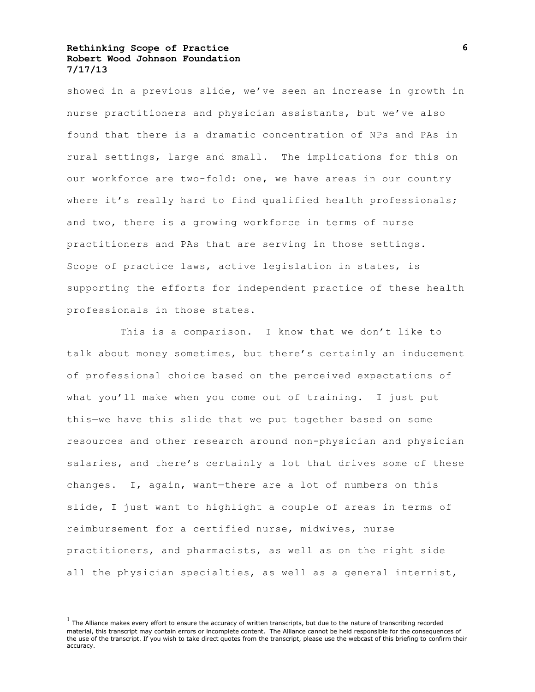showed in a previous slide, we've seen an increase in growth in nurse practitioners and physician assistants, but we've also found that there is a dramatic concentration of NPs and PAs in rural settings, large and small. The implications for this on our workforce are two-fold: one, we have areas in our country where it's really hard to find qualified health professionals; and two, there is a growing workforce in terms of nurse practitioners and PAs that are serving in those settings. Scope of practice laws, active legislation in states, is supporting the efforts for independent practice of these health professionals in those states.

This is a comparison. I know that we don't like to talk about money sometimes, but there's certainly an inducement of professional choice based on the perceived expectations of what you'll make when you come out of training. I just put this—we have this slide that we put together based on some resources and other research around non-physician and physician salaries, and there's certainly a lot that drives some of these changes. I, again, want—there are a lot of numbers on this slide, I just want to highlight a couple of areas in terms of reimbursement for a certified nurse, midwives, nurse practitioners, and pharmacists, as well as on the right side all the physician specialties, as well as a general internist,

 $<sup>1</sup>$  The Alliance makes every effort to ensure the accuracy of written transcripts, but due to the nature of transcribing recorded</sup> material, this transcript may contain errors or incomplete content. The Alliance cannot be held responsible for the consequences of the use of the transcript. If you wish to take direct quotes from the transcript, please use the webcast of this briefing to confirm their accuracy.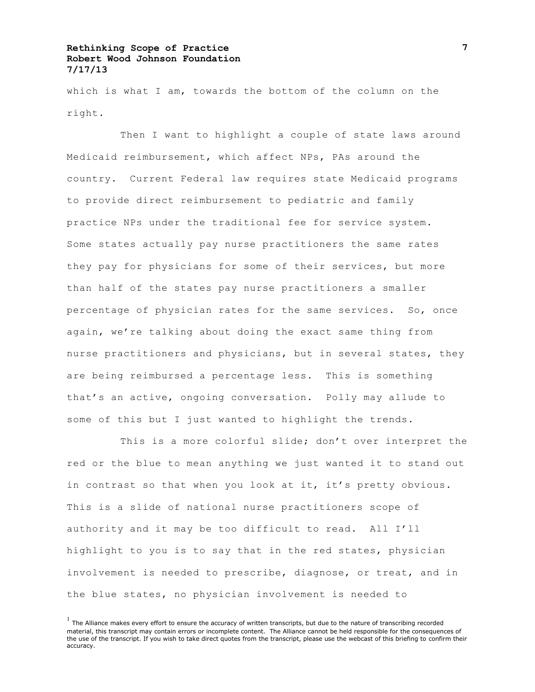which is what I am, towards the bottom of the column on the right.

Then I want to highlight a couple of state laws around Medicaid reimbursement, which affect NPs, PAs around the country. Current Federal law requires state Medicaid programs to provide direct reimbursement to pediatric and family practice NPs under the traditional fee for service system. Some states actually pay nurse practitioners the same rates they pay for physicians for some of their services, but more than half of the states pay nurse practitioners a smaller percentage of physician rates for the same services. So, once again, we're talking about doing the exact same thing from nurse practitioners and physicians, but in several states, they are being reimbursed a percentage less. This is something that's an active, ongoing conversation. Polly may allude to some of this but I just wanted to highlight the trends.

This is a more colorful slide; don't over interpret the red or the blue to mean anything we just wanted it to stand out in contrast so that when you look at it, it's pretty obvious. This is a slide of national nurse practitioners scope of authority and it may be too difficult to read. All I'll highlight to you is to say that in the red states, physician involvement is needed to prescribe, diagnose, or treat, and in the blue states, no physician involvement is needed to

 $<sup>1</sup>$  The Alliance makes every effort to ensure the accuracy of written transcripts, but due to the nature of transcribing recorded</sup> material, this transcript may contain errors or incomplete content. The Alliance cannot be held responsible for the consequences of the use of the transcript. If you wish to take direct quotes from the transcript, please use the webcast of this briefing to confirm their accuracy.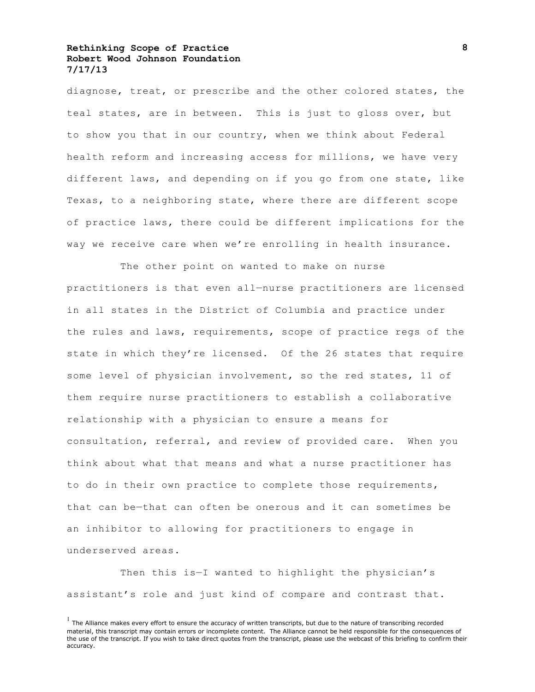diagnose, treat, or prescribe and the other colored states, the teal states, are in between. This is just to gloss over, but to show you that in our country, when we think about Federal health reform and increasing access for millions, we have very different laws, and depending on if you go from one state, like Texas, to a neighboring state, where there are different scope of practice laws, there could be different implications for the way we receive care when we're enrolling in health insurance.

The other point on wanted to make on nurse practitioners is that even all—nurse practitioners are licensed in all states in the District of Columbia and practice under the rules and laws, requirements, scope of practice regs of the state in which they're licensed. Of the 26 states that require some level of physician involvement, so the red states, 11 of them require nurse practitioners to establish a collaborative relationship with a physician to ensure a means for consultation, referral, and review of provided care. When you think about what that means and what a nurse practitioner has to do in their own practice to complete those requirements, that can be—that can often be onerous and it can sometimes be an inhibitor to allowing for practitioners to engage in underserved areas.

Then this is-I wanted to highlight the physician's assistant's role and just kind of compare and contrast that.

 $<sup>1</sup>$  The Alliance makes every effort to ensure the accuracy of written transcripts, but due to the nature of transcribing recorded</sup> material, this transcript may contain errors or incomplete content. The Alliance cannot be held responsible for the consequences of the use of the transcript. If you wish to take direct quotes from the transcript, please use the webcast of this briefing to confirm their accuracy.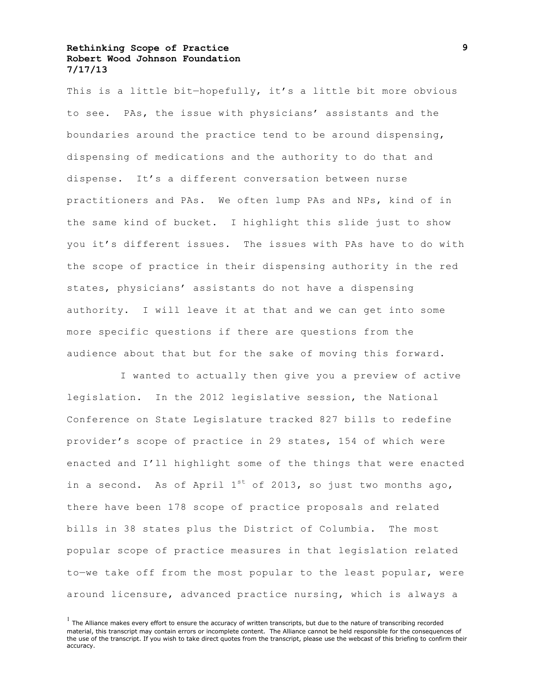This is a little bit-hopefully, it's a little bit more obvious to see. PAs, the issue with physicians' assistants and the boundaries around the practice tend to be around dispensing, dispensing of medications and the authority to do that and dispense. It's a different conversation between nurse practitioners and PAs. We often lump PAs and NPs, kind of in the same kind of bucket. I highlight this slide just to show you it's different issues. The issues with PAs have to do with the scope of practice in their dispensing authority in the red states, physicians' assistants do not have a dispensing authority. I will leave it at that and we can get into some more specific questions if there are questions from the audience about that but for the sake of moving this forward.

I wanted to actually then give you a preview of active legislation. In the 2012 legislative session, the National Conference on State Legislature tracked 827 bills to redefine provider's scope of practice in 29 states, 154 of which were enacted and I'll highlight some of the things that were enacted in a second. As of April  $1^{st}$  of 2013, so just two months ago, there have been 178 scope of practice proposals and related bills in 38 states plus the District of Columbia. The most popular scope of practice measures in that legislation related to—we take off from the most popular to the least popular, were around licensure, advanced practice nursing, which is always a

 $<sup>1</sup>$  The Alliance makes every effort to ensure the accuracy of written transcripts, but due to the nature of transcribing recorded</sup> material, this transcript may contain errors or incomplete content. The Alliance cannot be held responsible for the consequences of the use of the transcript. If you wish to take direct quotes from the transcript, please use the webcast of this briefing to confirm their accuracy.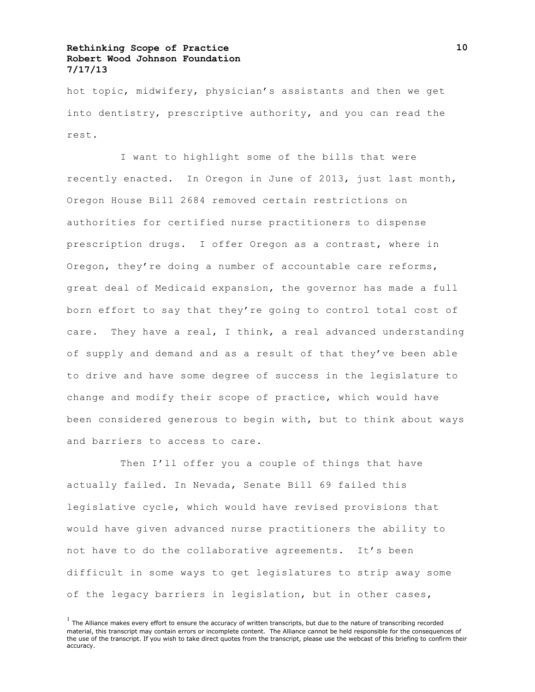hot topic, midwifery, physician's assistants and then we get into dentistry, prescriptive authority, and you can read the rest.

I want to highlight some of the bills that were recently enacted. In Oregon in June of 2013, just last month, Oregon House Bill 2684 removed certain restrictions on authorities for certified nurse practitioners to dispense prescription drugs. I offer Oregon as a contrast, where in Oregon, they're doing a number of accountable care reforms, great deal of Medicaid expansion, the governor has made a full born effort to say that they're going to control total cost of care. They have a real, I think, a real advanced understanding of supply and demand and as a result of that they've been able to drive and have some degree of success in the legislature to change and modify their scope of practice, which would have been considered generous to begin with, but to think about ways and barriers to access to care.

Then I'll offer you a couple of things that have actually failed. In Nevada, Senate Bill 69 failed this legislative cycle, which would have revised provisions that would have given advanced nurse practitioners the ability to not have to do the collaborative agreements. It's been difficult in some ways to get legislatures to strip away some of the legacy barriers in legislation, but in other cases,

 $<sup>1</sup>$  The Alliance makes every effort to ensure the accuracy of written transcripts, but due to the nature of transcribing recorded</sup> material, this transcript may contain errors or incomplete content. The Alliance cannot be held responsible for the consequences of the use of the transcript. If you wish to take direct quotes from the transcript, please use the webcast of this briefing to confirm their accuracy.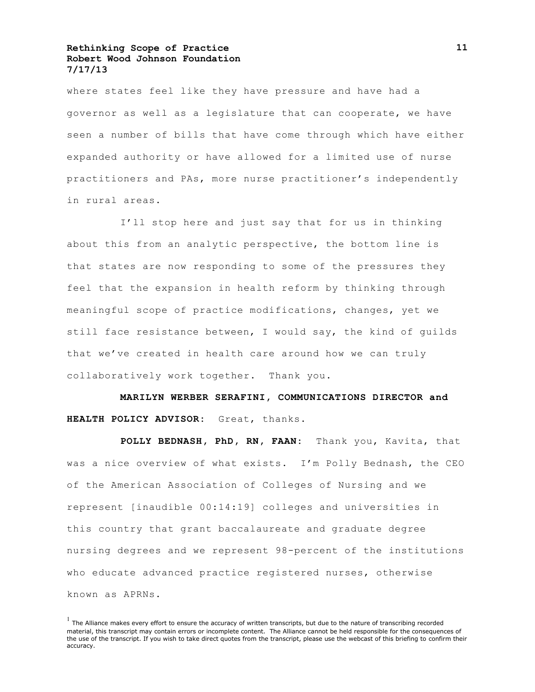where states feel like they have pressure and have had a governor as well as a legislature that can cooperate, we have seen a number of bills that have come through which have either expanded authority or have allowed for a limited use of nurse practitioners and PAs, more nurse practitioner's independently in rural areas.

I'll stop here and just say that for us in thinking about this from an analytic perspective, the bottom line is that states are now responding to some of the pressures they feel that the expansion in health reform by thinking through meaningful scope of practice modifications, changes, yet we still face resistance between, I would say, the kind of quilds that we've created in health care around how we can truly collaboratively work together. Thank you.

**MARILYN WERBER SERAFINI, COMMUNICATIONS DIRECTOR and HEALTH POLICY ADVISOR:** Great, thanks.

**POLLY BEDNASH, PhD, RN, FAAN:** Thank you, Kavita, that was a nice overview of what exists. I'm Polly Bednash, the CEO of the American Association of Colleges of Nursing and we represent [inaudible 00:14:19] colleges and universities in this country that grant baccalaureate and graduate degree nursing degrees and we represent 98-percent of the institutions who educate advanced practice registered nurses, otherwise known as APRNs.

 $<sup>1</sup>$  The Alliance makes every effort to ensure the accuracy of written transcripts, but due to the nature of transcribing recorded</sup> material, this transcript may contain errors or incomplete content. The Alliance cannot be held responsible for the consequences of the use of the transcript. If you wish to take direct quotes from the transcript, please use the webcast of this briefing to confirm their accuracy.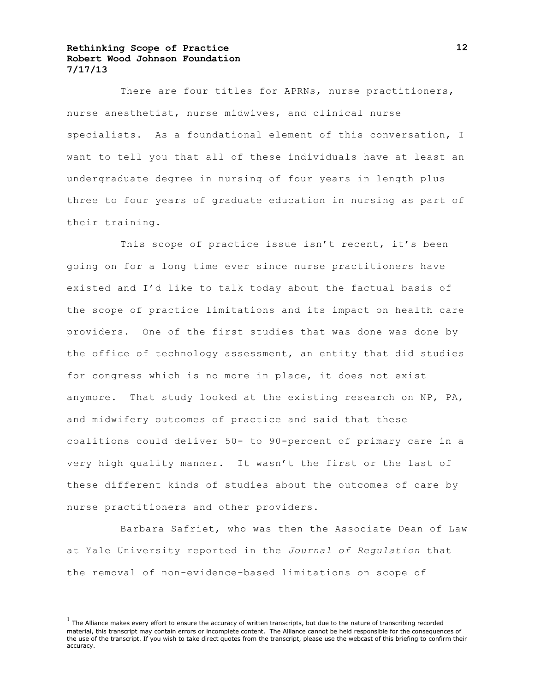There are four titles for APRNs, nurse practitioners, nurse anesthetist, nurse midwives, and clinical nurse specialists. As a foundational element of this conversation, I want to tell you that all of these individuals have at least an undergraduate degree in nursing of four years in length plus three to four years of graduate education in nursing as part of their training.

This scope of practice issue isn't recent, it's been going on for a long time ever since nurse practitioners have existed and I'd like to talk today about the factual basis of the scope of practice limitations and its impact on health care providers. One of the first studies that was done was done by the office of technology assessment, an entity that did studies for congress which is no more in place, it does not exist anymore. That study looked at the existing research on NP, PA, and midwifery outcomes of practice and said that these coalitions could deliver 50- to 90-percent of primary care in a very high quality manner. It wasn't the first or the last of these different kinds of studies about the outcomes of care by nurse practitioners and other providers.

Barbara Safriet, who was then the Associate Dean of Law at Yale University reported in the *Journal of Regulation* that the removal of non-evidence-based limitations on scope of

 $<sup>1</sup>$  The Alliance makes every effort to ensure the accuracy of written transcripts, but due to the nature of transcribing recorded</sup> material, this transcript may contain errors or incomplete content. The Alliance cannot be held responsible for the consequences of the use of the transcript. If you wish to take direct quotes from the transcript, please use the webcast of this briefing to confirm their accuracy.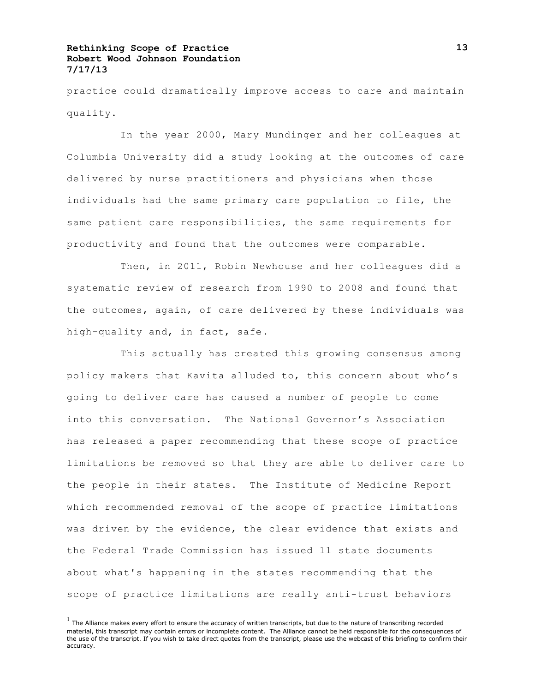practice could dramatically improve access to care and maintain quality.

In the year 2000, Mary Mundinger and her colleagues at Columbia University did a study looking at the outcomes of care delivered by nurse practitioners and physicians when those individuals had the same primary care population to file, the same patient care responsibilities, the same requirements for productivity and found that the outcomes were comparable.

Then, in 2011, Robin Newhouse and her colleagues did a systematic review of research from 1990 to 2008 and found that the outcomes, again, of care delivered by these individuals was high-quality and, in fact, safe.

This actually has created this growing consensus among policy makers that Kavita alluded to, this concern about who's going to deliver care has caused a number of people to come into this conversation. The National Governor's Association has released a paper recommending that these scope of practice limitations be removed so that they are able to deliver care to the people in their states. The Institute of Medicine Report which recommended removal of the scope of practice limitations was driven by the evidence, the clear evidence that exists and the Federal Trade Commission has issued 11 state documents about what's happening in the states recommending that the scope of practice limitations are really anti-trust behaviors

 $<sup>1</sup>$  The Alliance makes every effort to ensure the accuracy of written transcripts, but due to the nature of transcribing recorded</sup> material, this transcript may contain errors or incomplete content. The Alliance cannot be held responsible for the consequences of the use of the transcript. If you wish to take direct quotes from the transcript, please use the webcast of this briefing to confirm their accuracy.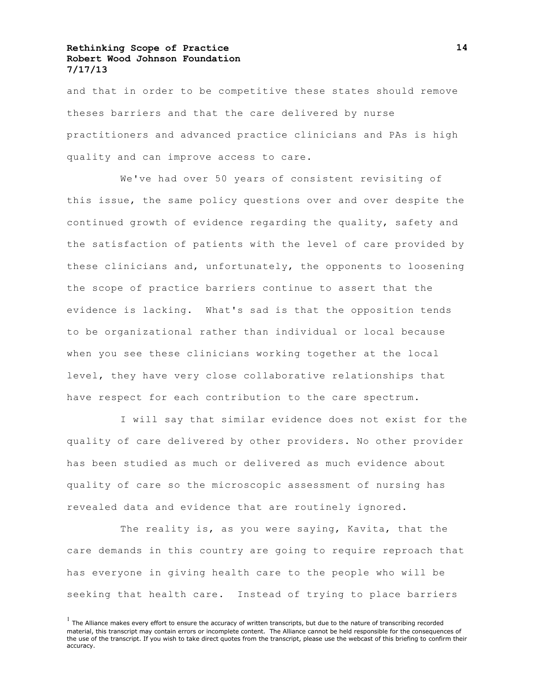and that in order to be competitive these states should remove theses barriers and that the care delivered by nurse practitioners and advanced practice clinicians and PAs is high quality and can improve access to care.

We've had over 50 years of consistent revisiting of this issue, the same policy questions over and over despite the continued growth of evidence regarding the quality, safety and the satisfaction of patients with the level of care provided by these clinicians and, unfortunately, the opponents to loosening the scope of practice barriers continue to assert that the evidence is lacking. What's sad is that the opposition tends to be organizational rather than individual or local because when you see these clinicians working together at the local level, they have very close collaborative relationships that have respect for each contribution to the care spectrum.

I will say that similar evidence does not exist for the quality of care delivered by other providers. No other provider has been studied as much or delivered as much evidence about quality of care so the microscopic assessment of nursing has revealed data and evidence that are routinely ignored.

The reality is, as you were saying, Kavita, that the care demands in this country are going to require reproach that has everyone in giving health care to the people who will be seeking that health care. Instead of trying to place barriers

 $<sup>1</sup>$  The Alliance makes every effort to ensure the accuracy of written transcripts, but due to the nature of transcribing recorded</sup> material, this transcript may contain errors or incomplete content. The Alliance cannot be held responsible for the consequences of the use of the transcript. If you wish to take direct quotes from the transcript, please use the webcast of this briefing to confirm their accuracy.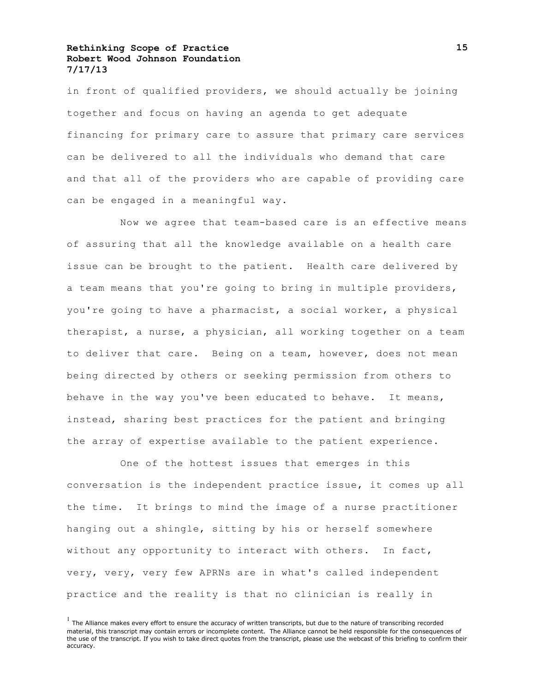in front of qualified providers, we should actually be joining together and focus on having an agenda to get adequate financing for primary care to assure that primary care services can be delivered to all the individuals who demand that care and that all of the providers who are capable of providing care can be engaged in a meaningful way.

Now we agree that team-based care is an effective means of assuring that all the knowledge available on a health care issue can be brought to the patient. Health care delivered by a team means that you're going to bring in multiple providers, you're going to have a pharmacist, a social worker, a physical therapist, a nurse, a physician, all working together on a team to deliver that care. Being on a team, however, does not mean being directed by others or seeking permission from others to behave in the way you've been educated to behave. It means, instead, sharing best practices for the patient and bringing the array of expertise available to the patient experience.

One of the hottest issues that emerges in this conversation is the independent practice issue, it comes up all the time. It brings to mind the image of a nurse practitioner hanging out a shingle, sitting by his or herself somewhere without any opportunity to interact with others. In fact, very, very, very few APRNs are in what's called independent practice and the reality is that no clinician is really in

 $<sup>1</sup>$  The Alliance makes every effort to ensure the accuracy of written transcripts, but due to the nature of transcribing recorded</sup> material, this transcript may contain errors or incomplete content. The Alliance cannot be held responsible for the consequences of the use of the transcript. If you wish to take direct quotes from the transcript, please use the webcast of this briefing to confirm their accuracy.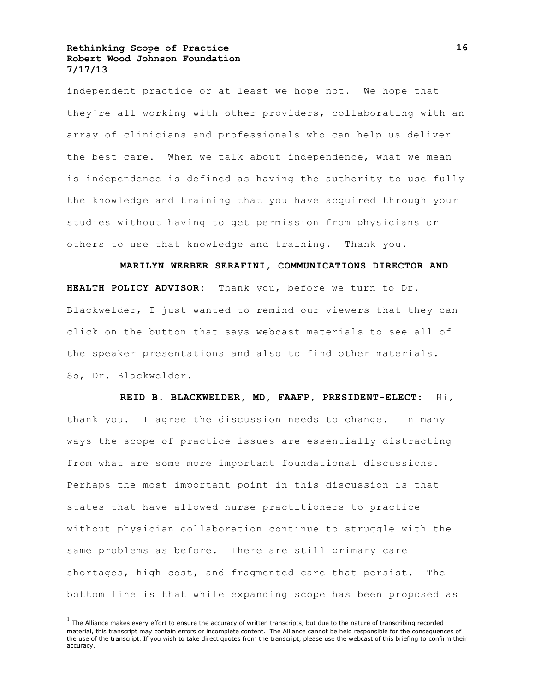independent practice or at least we hope not. We hope that they're all working with other providers, collaborating with an array of clinicians and professionals who can help us deliver the best care. When we talk about independence, what we mean is independence is defined as having the authority to use fully the knowledge and training that you have acquired through your studies without having to get permission from physicians or others to use that knowledge and training. Thank you.

**MARILYN WERBER SERAFINI, COMMUNICATIONS DIRECTOR AND HEALTH POLICY ADVISOR:** Thank you, before we turn to Dr. Blackwelder, I just wanted to remind our viewers that they can click on the button that says webcast materials to see all of the speaker presentations and also to find other materials. So, Dr. Blackwelder.

**REID B. BLACKWELDER, MD, FAAFP, PRESIDENT-ELECT:** Hi, thank you. I agree the discussion needs to change. In many ways the scope of practice issues are essentially distracting from what are some more important foundational discussions. Perhaps the most important point in this discussion is that states that have allowed nurse practitioners to practice without physician collaboration continue to struggle with the same problems as before. There are still primary care shortages, high cost, and fragmented care that persist. The bottom line is that while expanding scope has been proposed as

 $<sup>1</sup>$  The Alliance makes every effort to ensure the accuracy of written transcripts, but due to the nature of transcribing recorded</sup> material, this transcript may contain errors or incomplete content. The Alliance cannot be held responsible for the consequences of the use of the transcript. If you wish to take direct quotes from the transcript, please use the webcast of this briefing to confirm their accuracy.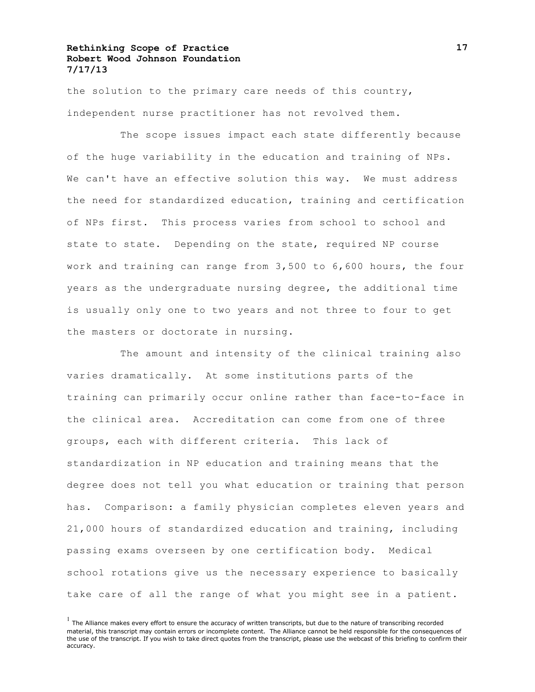the solution to the primary care needs of this country, independent nurse practitioner has not revolved them.

The scope issues impact each state differently because of the huge variability in the education and training of NPs. We can't have an effective solution this way. We must address the need for standardized education, training and certification of NPs first. This process varies from school to school and state to state. Depending on the state, required NP course work and training can range from 3,500 to 6,600 hours, the four years as the undergraduate nursing degree, the additional time is usually only one to two years and not three to four to get the masters or doctorate in nursing.

The amount and intensity of the clinical training also varies dramatically. At some institutions parts of the training can primarily occur online rather than face-to-face in the clinical area. Accreditation can come from one of three groups, each with different criteria. This lack of standardization in NP education and training means that the degree does not tell you what education or training that person has. Comparison: a family physician completes eleven years and 21,000 hours of standardized education and training, including passing exams overseen by one certification body. Medical school rotations give us the necessary experience to basically take care of all the range of what you might see in a patient.

 $<sup>1</sup>$  The Alliance makes every effort to ensure the accuracy of written transcripts, but due to the nature of transcribing recorded</sup> material, this transcript may contain errors or incomplete content. The Alliance cannot be held responsible for the consequences of the use of the transcript. If you wish to take direct quotes from the transcript, please use the webcast of this briefing to confirm their accuracy.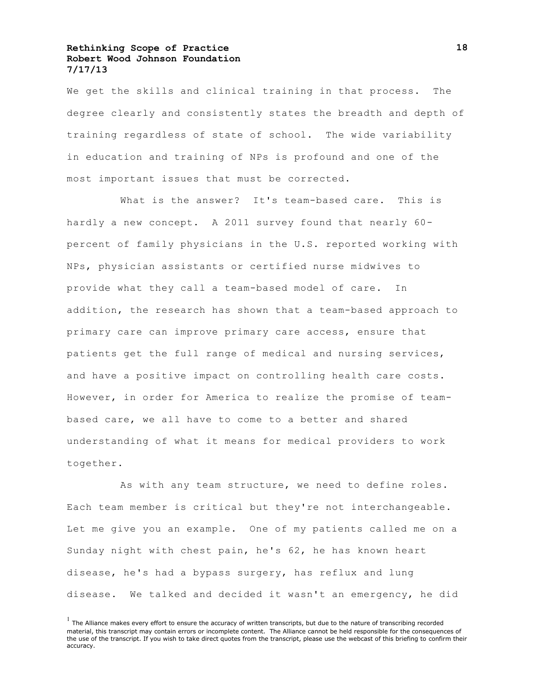We get the skills and clinical training in that process. The degree clearly and consistently states the breadth and depth of training regardless of state of school. The wide variability in education and training of NPs is profound and one of the most important issues that must be corrected.

What is the answer? It's team-based care. This is hardly a new concept. A 2011 survey found that nearly 60 percent of family physicians in the U.S. reported working with NPs, physician assistants or certified nurse midwives to provide what they call a team-based model of care. In addition, the research has shown that a team-based approach to primary care can improve primary care access, ensure that patients get the full range of medical and nursing services, and have a positive impact on controlling health care costs. However, in order for America to realize the promise of teambased care, we all have to come to a better and shared understanding of what it means for medical providers to work together.

As with any team structure, we need to define roles. Each team member is critical but they're not interchangeable. Let me give you an example. One of my patients called me on a Sunday night with chest pain, he's 62, he has known heart disease, he's had a bypass surgery, has reflux and lung disease. We talked and decided it wasn't an emergency, he did

 $<sup>1</sup>$  The Alliance makes every effort to ensure the accuracy of written transcripts, but due to the nature of transcribing recorded</sup> material, this transcript may contain errors or incomplete content. The Alliance cannot be held responsible for the consequences of the use of the transcript. If you wish to take direct quotes from the transcript, please use the webcast of this briefing to confirm their accuracy.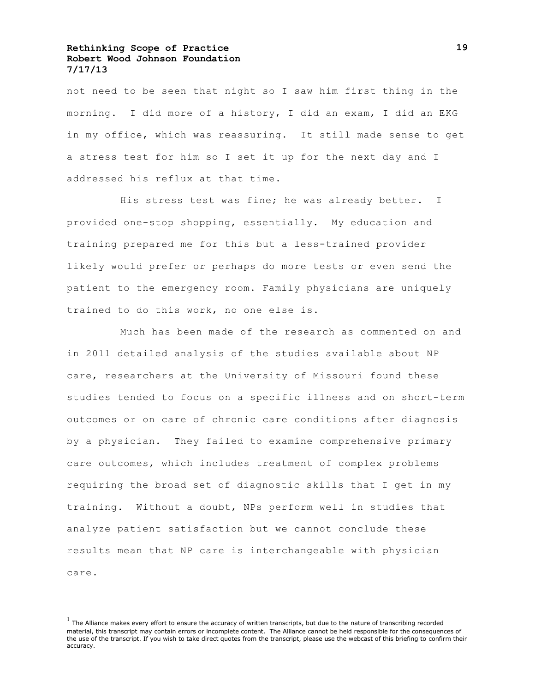not need to be seen that night so I saw him first thing in the morning. I did more of a history, I did an exam, I did an EKG in my office, which was reassuring. It still made sense to get a stress test for him so I set it up for the next day and I addressed his reflux at that time.

His stress test was fine; he was already better. I provided one-stop shopping, essentially. My education and training prepared me for this but a less-trained provider likely would prefer or perhaps do more tests or even send the patient to the emergency room. Family physicians are uniquely trained to do this work, no one else is.

Much has been made of the research as commented on and in 2011 detailed analysis of the studies available about NP care, researchers at the University of Missouri found these studies tended to focus on a specific illness and on short-term outcomes or on care of chronic care conditions after diagnosis by a physician. They failed to examine comprehensive primary care outcomes, which includes treatment of complex problems requiring the broad set of diagnostic skills that I get in my training. Without a doubt, NPs perform well in studies that analyze patient satisfaction but we cannot conclude these results mean that NP care is interchangeable with physician care.

 $<sup>1</sup>$  The Alliance makes every effort to ensure the accuracy of written transcripts, but due to the nature of transcribing recorded</sup> material, this transcript may contain errors or incomplete content. The Alliance cannot be held responsible for the consequences of the use of the transcript. If you wish to take direct quotes from the transcript, please use the webcast of this briefing to confirm their accuracy.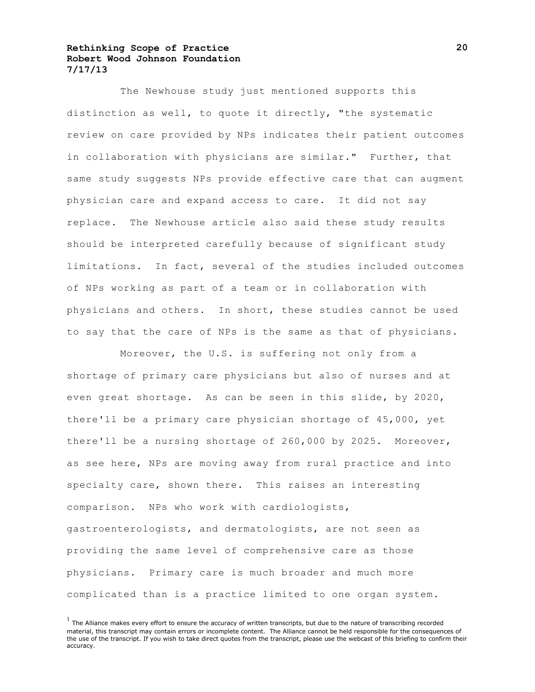The Newhouse study just mentioned supports this distinction as well, to quote it directly, "the systematic review on care provided by NPs indicates their patient outcomes in collaboration with physicians are similar." Further, that same study suggests NPs provide effective care that can augment physician care and expand access to care. It did not say replace. The Newhouse article also said these study results should be interpreted carefully because of significant study limitations. In fact, several of the studies included outcomes of NPs working as part of a team or in collaboration with physicians and others. In short, these studies cannot be used to say that the care of NPs is the same as that of physicians.

Moreover, the U.S. is suffering not only from a shortage of primary care physicians but also of nurses and at even great shortage. As can be seen in this slide, by 2020, there'll be a primary care physician shortage of 45,000, yet there'll be a nursing shortage of 260,000 by 2025. Moreover, as see here, NPs are moving away from rural practice and into specialty care, shown there. This raises an interesting comparison. NPs who work with cardiologists, gastroenterologists, and dermatologists, are not seen as providing the same level of comprehensive care as those physicians. Primary care is much broader and much more complicated than is a practice limited to one organ system.

 $<sup>1</sup>$  The Alliance makes every effort to ensure the accuracy of written transcripts, but due to the nature of transcribing recorded</sup> material, this transcript may contain errors or incomplete content. The Alliance cannot be held responsible for the consequences of the use of the transcript. If you wish to take direct quotes from the transcript, please use the webcast of this briefing to confirm their accuracy.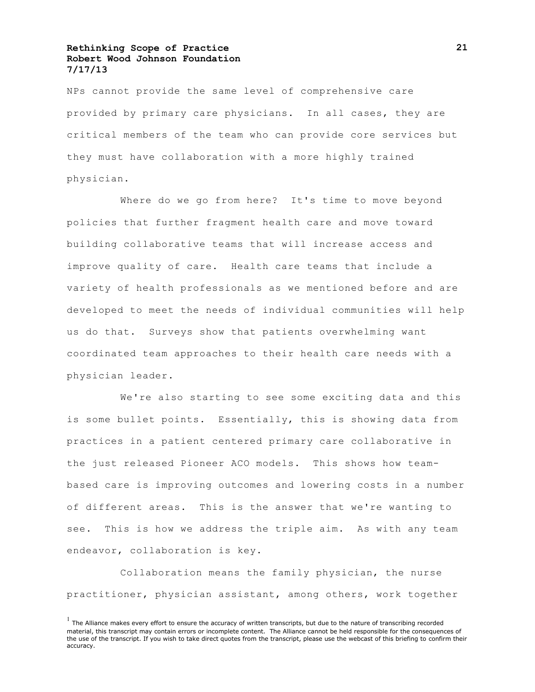NPs cannot provide the same level of comprehensive care provided by primary care physicians. In all cases, they are critical members of the team who can provide core services but they must have collaboration with a more highly trained physician.

Where do we go from here? It's time to move beyond policies that further fragment health care and move toward building collaborative teams that will increase access and improve quality of care. Health care teams that include a variety of health professionals as we mentioned before and are developed to meet the needs of individual communities will help us do that. Surveys show that patients overwhelming want coordinated team approaches to their health care needs with a physician leader.

We're also starting to see some exciting data and this is some bullet points. Essentially, this is showing data from practices in a patient centered primary care collaborative in the just released Pioneer ACO models. This shows how teambased care is improving outcomes and lowering costs in a number of different areas. This is the answer that we're wanting to see. This is how we address the triple aim. As with any team endeavor, collaboration is key.

Collaboration means the family physician, the nurse practitioner, physician assistant, among others, work together

 $<sup>1</sup>$  The Alliance makes every effort to ensure the accuracy of written transcripts, but due to the nature of transcribing recorded</sup> material, this transcript may contain errors or incomplete content. The Alliance cannot be held responsible for the consequences of the use of the transcript. If you wish to take direct quotes from the transcript, please use the webcast of this briefing to confirm their accuracy.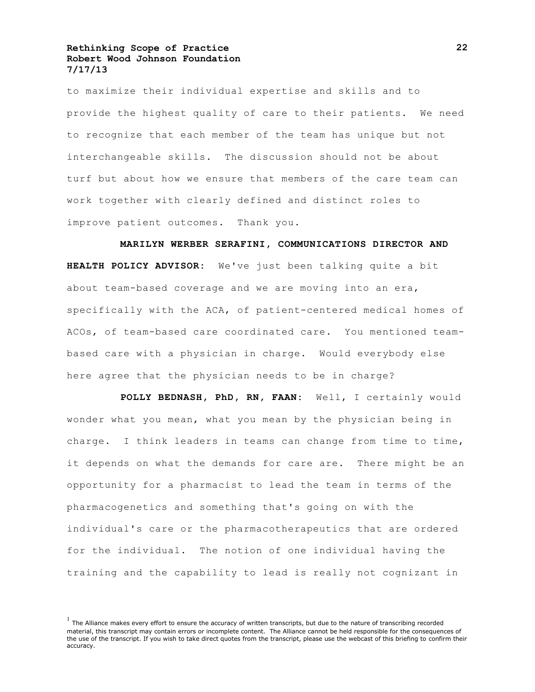to maximize their individual expertise and skills and to provide the highest quality of care to their patients. We need to recognize that each member of the team has unique but not interchangeable skills. The discussion should not be about turf but about how we ensure that members of the care team can work together with clearly defined and distinct roles to improve patient outcomes. Thank you.

**MARILYN WERBER SERAFINI, COMMUNICATIONS DIRECTOR AND HEALTH POLICY ADVISOR:** We've just been talking quite a bit about team-based coverage and we are moving into an era, specifically with the ACA, of patient-centered medical homes of ACOs, of team-based care coordinated care. You mentioned teambased care with a physician in charge. Would everybody else here agree that the physician needs to be in charge?

**POLLY BEDNASH, PhD, RN, FAAN:** Well, I certainly would wonder what you mean, what you mean by the physician being in charge. I think leaders in teams can change from time to time, it depends on what the demands for care are. There might be an opportunity for a pharmacist to lead the team in terms of the pharmacogenetics and something that's going on with the individual's care or the pharmacotherapeutics that are ordered for the individual. The notion of one individual having the training and the capability to lead is really not cognizant in

 $<sup>1</sup>$  The Alliance makes every effort to ensure the accuracy of written transcripts, but due to the nature of transcribing recorded</sup> material, this transcript may contain errors or incomplete content. The Alliance cannot be held responsible for the consequences of the use of the transcript. If you wish to take direct quotes from the transcript, please use the webcast of this briefing to confirm their accuracy.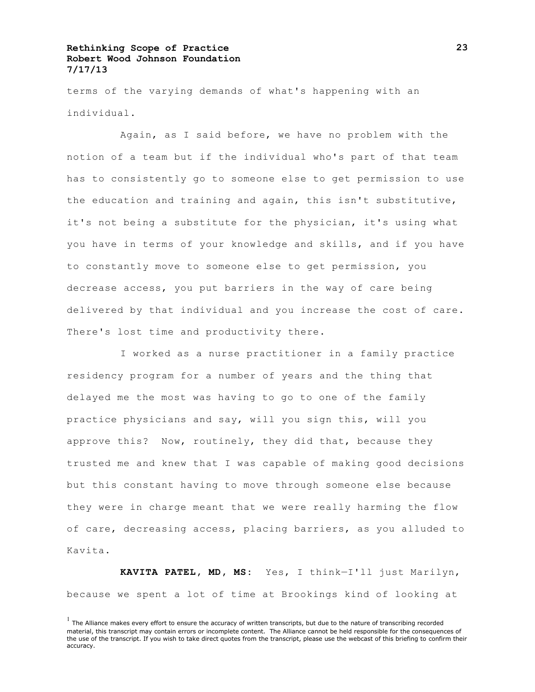terms of the varying demands of what's happening with an individual.

Again, as I said before, we have no problem with the notion of a team but if the individual who's part of that team has to consistently go to someone else to get permission to use the education and training and again, this isn't substitutive, it's not being a substitute for the physician, it's using what you have in terms of your knowledge and skills, and if you have to constantly move to someone else to get permission, you decrease access, you put barriers in the way of care being delivered by that individual and you increase the cost of care. There's lost time and productivity there.

I worked as a nurse practitioner in a family practice residency program for a number of years and the thing that delayed me the most was having to go to one of the family practice physicians and say, will you sign this, will you approve this? Now, routinely, they did that, because they trusted me and knew that I was capable of making good decisions but this constant having to move through someone else because they were in charge meant that we were really harming the flow of care, decreasing access, placing barriers, as you alluded to Kavita.

**KAVITA PATEL, MD, MS:** Yes, I think—I'll just Marilyn, because we spent a lot of time at Brookings kind of looking at

 $<sup>1</sup>$  The Alliance makes every effort to ensure the accuracy of written transcripts, but due to the nature of transcribing recorded</sup> material, this transcript may contain errors or incomplete content. The Alliance cannot be held responsible for the consequences of the use of the transcript. If you wish to take direct quotes from the transcript, please use the webcast of this briefing to confirm their accuracy.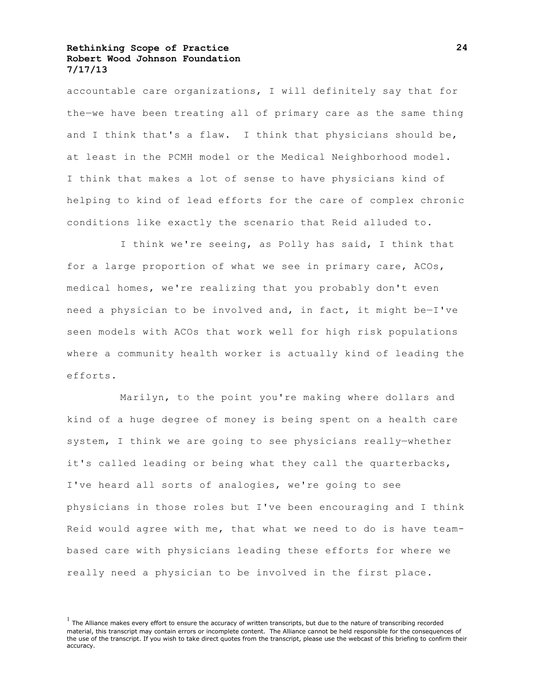accountable care organizations, I will definitely say that for the—we have been treating all of primary care as the same thing and I think that's a flaw. I think that physicians should be, at least in the PCMH model or the Medical Neighborhood model. I think that makes a lot of sense to have physicians kind of helping to kind of lead efforts for the care of complex chronic conditions like exactly the scenario that Reid alluded to.

I think we're seeing, as Polly has said, I think that for a large proportion of what we see in primary care, ACOs, medical homes, we're realizing that you probably don't even need a physician to be involved and, in fact, it might be—I've seen models with ACOs that work well for high risk populations where a community health worker is actually kind of leading the efforts.

Marilyn, to the point you're making where dollars and kind of a huge degree of money is being spent on a health care system, I think we are going to see physicians really—whether it's called leading or being what they call the quarterbacks, I've heard all sorts of analogies, we're going to see physicians in those roles but I've been encouraging and I think Reid would agree with me, that what we need to do is have teambased care with physicians leading these efforts for where we really need a physician to be involved in the first place.

 $<sup>1</sup>$  The Alliance makes every effort to ensure the accuracy of written transcripts, but due to the nature of transcribing recorded</sup> material, this transcript may contain errors or incomplete content. The Alliance cannot be held responsible for the consequences of the use of the transcript. If you wish to take direct quotes from the transcript, please use the webcast of this briefing to confirm their accuracy.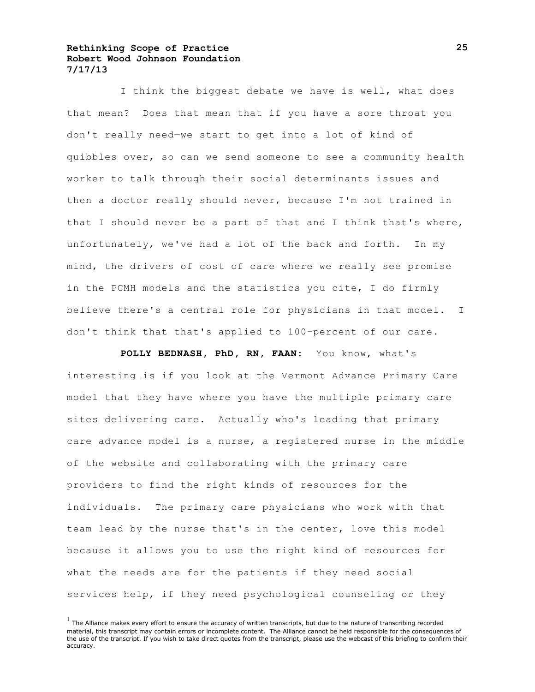I think the biggest debate we have is well, what does that mean? Does that mean that if you have a sore throat you don't really need—we start to get into a lot of kind of quibbles over, so can we send someone to see a community health worker to talk through their social determinants issues and then a doctor really should never, because I'm not trained in that I should never be a part of that and I think that's where, unfortunately, we've had a lot of the back and forth. In my mind, the drivers of cost of care where we really see promise in the PCMH models and the statistics you cite, I do firmly believe there's a central role for physicians in that model. I don't think that that's applied to 100-percent of our care.

**POLLY BEDNASH, PhD, RN, FAAN:** You know, what's interesting is if you look at the Vermont Advance Primary Care model that they have where you have the multiple primary care sites delivering care. Actually who's leading that primary care advance model is a nurse, a registered nurse in the middle of the website and collaborating with the primary care providers to find the right kinds of resources for the individuals. The primary care physicians who work with that team lead by the nurse that's in the center, love this model because it allows you to use the right kind of resources for what the needs are for the patients if they need social services help, if they need psychological counseling or they

 $<sup>1</sup>$  The Alliance makes every effort to ensure the accuracy of written transcripts, but due to the nature of transcribing recorded</sup> material, this transcript may contain errors or incomplete content. The Alliance cannot be held responsible for the consequences of the use of the transcript. If you wish to take direct quotes from the transcript, please use the webcast of this briefing to confirm their accuracy.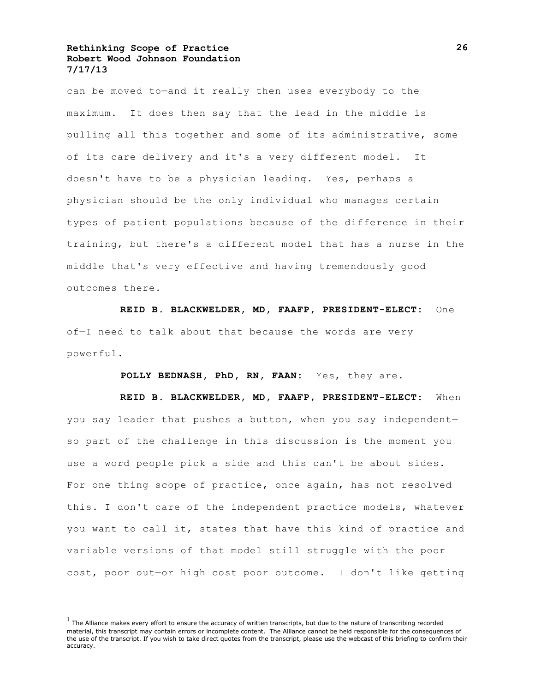can be moved to—and it really then uses everybody to the maximum. It does then say that the lead in the middle is pulling all this together and some of its administrative, some of its care delivery and it's a very different model. It doesn't have to be a physician leading. Yes, perhaps a physician should be the only individual who manages certain types of patient populations because of the difference in their training, but there's a different model that has a nurse in the middle that's very effective and having tremendously good outcomes there.

**REID B. BLACKWELDER, MD, FAAFP, PRESIDENT-ELECT:** One of—I need to talk about that because the words are very powerful.

**POLLY BEDNASH, PhD, RN, FAAN:** Yes, they are.

**REID B. BLACKWELDER, MD, FAAFP, PRESIDENT-ELECT:** When you say leader that pushes a button, when you say independent so part of the challenge in this discussion is the moment you use a word people pick a side and this can't be about sides. For one thing scope of practice, once again, has not resolved this. I don't care of the independent practice models, whatever you want to call it, states that have this kind of practice and variable versions of that model still struggle with the poor cost, poor out—or high cost poor outcome. I don't like getting

 $<sup>1</sup>$  The Alliance makes every effort to ensure the accuracy of written transcripts, but due to the nature of transcribing recorded</sup> material, this transcript may contain errors or incomplete content. The Alliance cannot be held responsible for the consequences of the use of the transcript. If you wish to take direct quotes from the transcript, please use the webcast of this briefing to confirm their accuracy.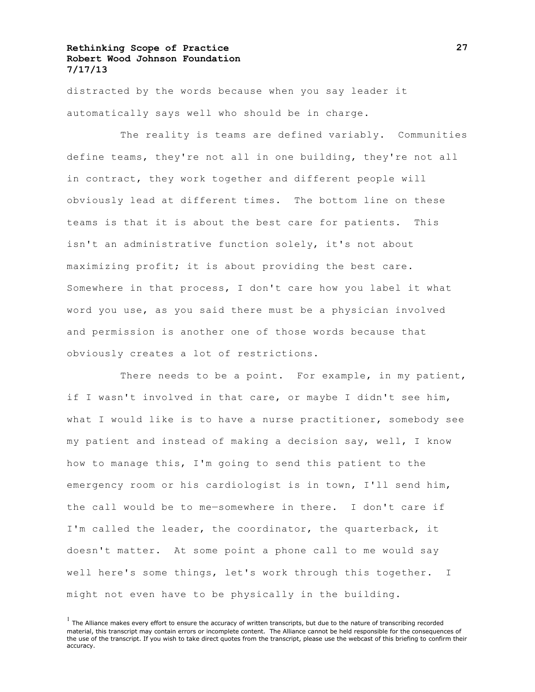distracted by the words because when you say leader it automatically says well who should be in charge.

The reality is teams are defined variably. Communities define teams, they're not all in one building, they're not all in contract, they work together and different people will obviously lead at different times. The bottom line on these teams is that it is about the best care for patients. This isn't an administrative function solely, it's not about maximizing profit; it is about providing the best care. Somewhere in that process, I don't care how you label it what word you use, as you said there must be a physician involved and permission is another one of those words because that obviously creates a lot of restrictions.

There needs to be a point. For example, in my patient, if I wasn't involved in that care, or maybe I didn't see him, what I would like is to have a nurse practitioner, somebody see my patient and instead of making a decision say, well, I know how to manage this, I'm going to send this patient to the emergency room or his cardiologist is in town, I'll send him, the call would be to me—somewhere in there. I don't care if I'm called the leader, the coordinator, the quarterback, it doesn't matter. At some point a phone call to me would say well here's some things, let's work through this together. I might not even have to be physically in the building.

 $<sup>1</sup>$  The Alliance makes every effort to ensure the accuracy of written transcripts, but due to the nature of transcribing recorded</sup> material, this transcript may contain errors or incomplete content. The Alliance cannot be held responsible for the consequences of the use of the transcript. If you wish to take direct quotes from the transcript, please use the webcast of this briefing to confirm their accuracy.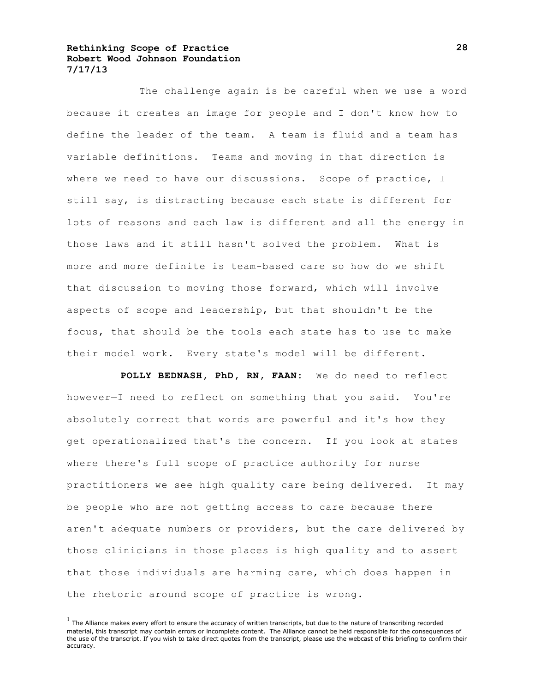The challenge again is be careful when we use a word because it creates an image for people and I don't know how to define the leader of the team. A team is fluid and a team has variable definitions. Teams and moving in that direction is where we need to have our discussions. Scope of practice, I still say, is distracting because each state is different for lots of reasons and each law is different and all the energy in those laws and it still hasn't solved the problem. What is more and more definite is team-based care so how do we shift that discussion to moving those forward, which will involve aspects of scope and leadership, but that shouldn't be the focus, that should be the tools each state has to use to make their model work. Every state's model will be different.

**POLLY BEDNASH, PhD, RN, FAAN:** We do need to reflect however—I need to reflect on something that you said. You're absolutely correct that words are powerful and it's how they get operationalized that's the concern. If you look at states where there's full scope of practice authority for nurse practitioners we see high quality care being delivered. It may be people who are not getting access to care because there aren't adequate numbers or providers, but the care delivered by those clinicians in those places is high quality and to assert that those individuals are harming care, which does happen in the rhetoric around scope of practice is wrong.

 $<sup>1</sup>$  The Alliance makes every effort to ensure the accuracy of written transcripts, but due to the nature of transcribing recorded</sup> material, this transcript may contain errors or incomplete content. The Alliance cannot be held responsible for the consequences of the use of the transcript. If you wish to take direct quotes from the transcript, please use the webcast of this briefing to confirm their accuracy.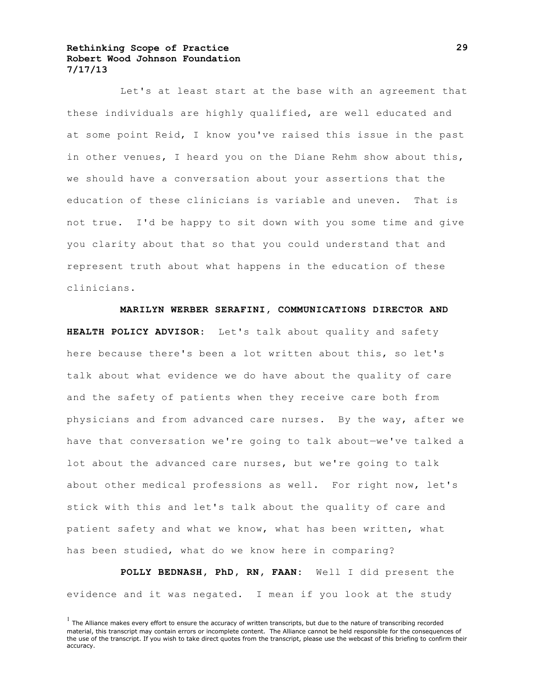Let's at least start at the base with an agreement that these individuals are highly qualified, are well educated and at some point Reid, I know you've raised this issue in the past in other venues, I heard you on the Diane Rehm show about this, we should have a conversation about your assertions that the education of these clinicians is variable and uneven. That is not true. I'd be happy to sit down with you some time and give you clarity about that so that you could understand that and represent truth about what happens in the education of these clinicians.

**MARILYN WERBER SERAFINI, COMMUNICATIONS DIRECTOR AND HEALTH POLICY ADVISOR:** Let's talk about quality and safety here because there's been a lot written about this, so let's talk about what evidence we do have about the quality of care and the safety of patients when they receive care both from physicians and from advanced care nurses. By the way, after we have that conversation we're going to talk about—we've talked a lot about the advanced care nurses, but we're going to talk about other medical professions as well. For right now, let's stick with this and let's talk about the quality of care and patient safety and what we know, what has been written, what has been studied, what do we know here in comparing?

**POLLY BEDNASH, PhD, RN, FAAN:** Well I did present the evidence and it was negated. I mean if you look at the study

 $<sup>1</sup>$  The Alliance makes every effort to ensure the accuracy of written transcripts, but due to the nature of transcribing recorded</sup> material, this transcript may contain errors or incomplete content. The Alliance cannot be held responsible for the consequences of the use of the transcript. If you wish to take direct quotes from the transcript, please use the webcast of this briefing to confirm their accuracy.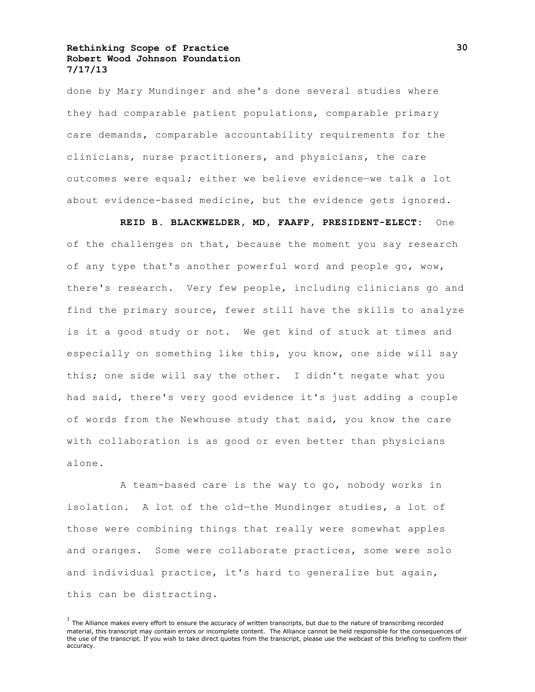done by Mary Mundinger and she's done several studies where they had comparable patient populations, comparable primary care demands, comparable accountability requirements for the clinicians, nurse practitioners, and physicians, the care outcomes were equal; either we believe evidence—we talk a lot about evidence-based medicine, but the evidence gets ignored.

**REID B. BLACKWELDER, MD, FAAFP, PRESIDENT-ELECT:** One of the challenges on that, because the moment you say research of any type that's another powerful word and people go, wow, there's research. Very few people, including clinicians go and find the primary source, fewer still have the skills to analyze is it a good study or not. We get kind of stuck at times and especially on something like this, you know, one side will say this; one side will say the other. I didn't negate what you had said, there's very good evidence it's just adding a couple of words from the Newhouse study that said, you know the care with collaboration is as good or even better than physicians alone.

A team-based care is the way to go, nobody works in isolation. A lot of the old—the Mundinger studies, a lot of those were combining things that really were somewhat apples and oranges. Some were collaborate practices, some were solo and individual practice, it's hard to generalize but again, this can be distracting.

 $<sup>1</sup>$  The Alliance makes every effort to ensure the accuracy of written transcripts, but due to the nature of transcribing recorded</sup> material, this transcript may contain errors or incomplete content. The Alliance cannot be held responsible for the consequences of the use of the transcript. If you wish to take direct quotes from the transcript, please use the webcast of this briefing to confirm their accuracy.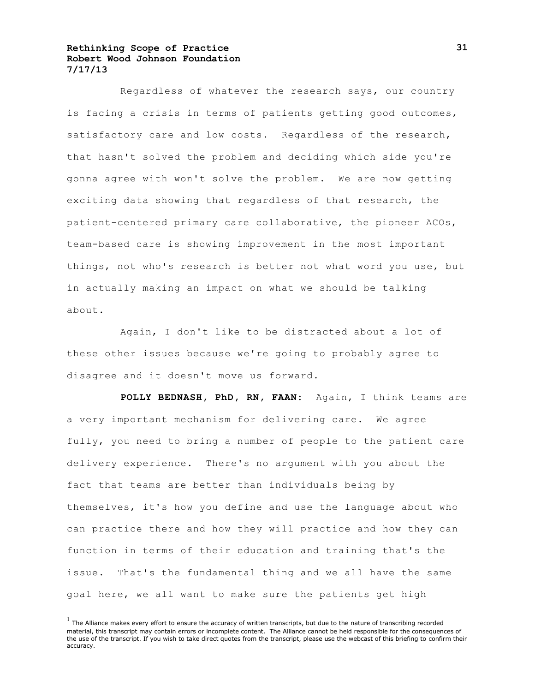Regardless of whatever the research says, our country is facing a crisis in terms of patients getting good outcomes, satisfactory care and low costs. Regardless of the research, that hasn't solved the problem and deciding which side you're gonna agree with won't solve the problem. We are now getting exciting data showing that regardless of that research, the patient-centered primary care collaborative, the pioneer ACOs, team-based care is showing improvement in the most important things, not who's research is better not what word you use, but in actually making an impact on what we should be talking about.

Again, I don't like to be distracted about a lot of these other issues because we're going to probably agree to disagree and it doesn't move us forward.

**POLLY BEDNASH, PhD, RN, FAAN:** Again, I think teams are a very important mechanism for delivering care. We agree fully, you need to bring a number of people to the patient care delivery experience. There's no argument with you about the fact that teams are better than individuals being by themselves, it's how you define and use the language about who can practice there and how they will practice and how they can function in terms of their education and training that's the issue. That's the fundamental thing and we all have the same goal here, we all want to make sure the patients get high

 $<sup>1</sup>$  The Alliance makes every effort to ensure the accuracy of written transcripts, but due to the nature of transcribing recorded</sup> material, this transcript may contain errors or incomplete content. The Alliance cannot be held responsible for the consequences of the use of the transcript. If you wish to take direct quotes from the transcript, please use the webcast of this briefing to confirm their accuracy.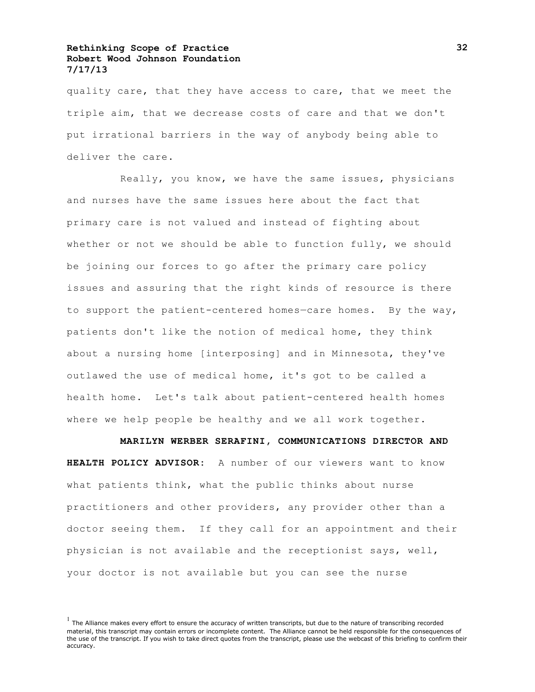quality care, that they have access to care, that we meet the triple aim, that we decrease costs of care and that we don't put irrational barriers in the way of anybody being able to deliver the care.

Really, you know, we have the same issues, physicians and nurses have the same issues here about the fact that primary care is not valued and instead of fighting about whether or not we should be able to function fully, we should be joining our forces to go after the primary care policy issues and assuring that the right kinds of resource is there to support the patient-centered homes—care homes. By the way, patients don't like the notion of medical home, they think about a nursing home [interposing] and in Minnesota, they've outlawed the use of medical home, it's got to be called a health home. Let's talk about patient-centered health homes where we help people be healthy and we all work together.

**MARILYN WERBER SERAFINI, COMMUNICATIONS DIRECTOR AND** 

**HEALTH POLICY ADVISOR:** A number of our viewers want to know what patients think, what the public thinks about nurse practitioners and other providers, any provider other than a doctor seeing them. If they call for an appointment and their physician is not available and the receptionist says, well, your doctor is not available but you can see the nurse

 $<sup>1</sup>$  The Alliance makes every effort to ensure the accuracy of written transcripts, but due to the nature of transcribing recorded</sup> material, this transcript may contain errors or incomplete content. The Alliance cannot be held responsible for the consequences of the use of the transcript. If you wish to take direct quotes from the transcript, please use the webcast of this briefing to confirm their accuracy.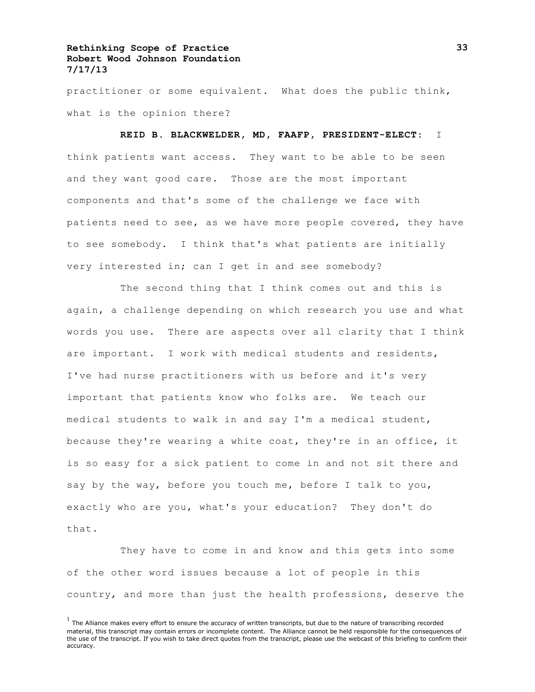practitioner or some equivalent. What does the public think, what is the opinion there?

**REID B. BLACKWELDER, MD, FAAFP, PRESIDENT-ELECT:** I think patients want access. They want to be able to be seen and they want good care. Those are the most important components and that's some of the challenge we face with patients need to see, as we have more people covered, they have to see somebody. I think that's what patients are initially very interested in; can I get in and see somebody?

The second thing that I think comes out and this is again, a challenge depending on which research you use and what words you use. There are aspects over all clarity that I think are important. I work with medical students and residents, I've had nurse practitioners with us before and it's very important that patients know who folks are. We teach our medical students to walk in and say I'm a medical student, because they're wearing a white coat, they're in an office, it is so easy for a sick patient to come in and not sit there and say by the way, before you touch me, before I talk to you, exactly who are you, what's your education? They don't do that.

They have to come in and know and this gets into some of the other word issues because a lot of people in this country, and more than just the health professions, deserve the

 $<sup>1</sup>$  The Alliance makes every effort to ensure the accuracy of written transcripts, but due to the nature of transcribing recorded</sup> material, this transcript may contain errors or incomplete content. The Alliance cannot be held responsible for the consequences of the use of the transcript. If you wish to take direct quotes from the transcript, please use the webcast of this briefing to confirm their accuracy.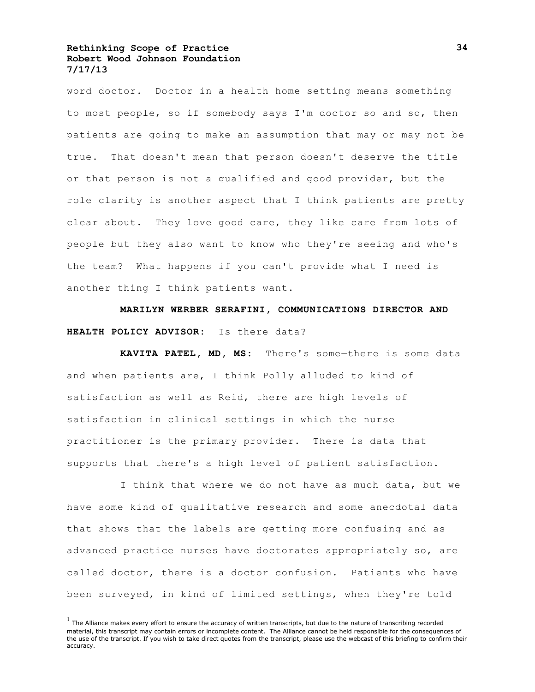word doctor. Doctor in a health home setting means something to most people, so if somebody says I'm doctor so and so, then patients are going to make an assumption that may or may not be true. That doesn't mean that person doesn't deserve the title or that person is not a qualified and good provider, but the role clarity is another aspect that I think patients are pretty clear about. They love good care, they like care from lots of people but they also want to know who they're seeing and who's the team? What happens if you can't provide what I need is another thing I think patients want.

**MARILYN WERBER SERAFINI, COMMUNICATIONS DIRECTOR AND HEALTH POLICY ADVISOR:** Is there data?

**KAVITA PATEL, MD, MS:** There's some—there is some data and when patients are, I think Polly alluded to kind of satisfaction as well as Reid, there are high levels of satisfaction in clinical settings in which the nurse practitioner is the primary provider. There is data that supports that there's a high level of patient satisfaction.

I think that where we do not have as much data, but we have some kind of qualitative research and some anecdotal data that shows that the labels are getting more confusing and as advanced practice nurses have doctorates appropriately so, are called doctor, there is a doctor confusion. Patients who have been surveyed, in kind of limited settings, when they're told

 $<sup>1</sup>$  The Alliance makes every effort to ensure the accuracy of written transcripts, but due to the nature of transcribing recorded</sup> material, this transcript may contain errors or incomplete content. The Alliance cannot be held responsible for the consequences of the use of the transcript. If you wish to take direct quotes from the transcript, please use the webcast of this briefing to confirm their accuracy.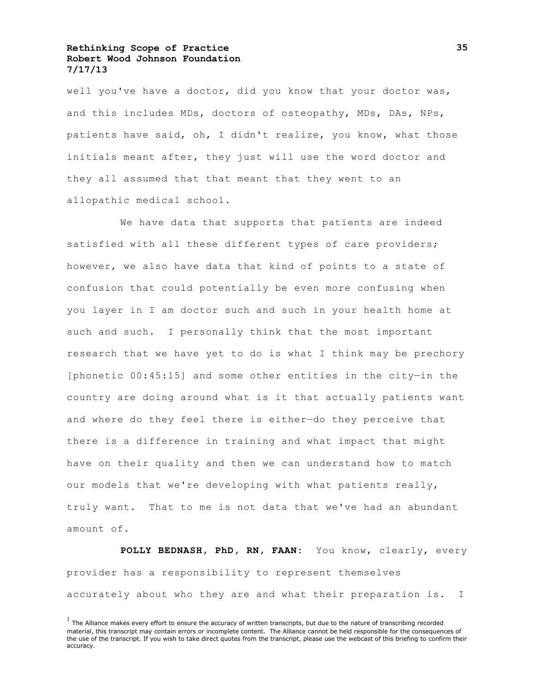well you've have a doctor, did you know that your doctor was, and this includes MDs, doctors of osteopathy, MDs, DAs, NPs, patients have said, oh, I didn't realize, you know, what those initials meant after, they just will use the word doctor and they all assumed that that meant that they went to an allopathic medical school.

We have data that supports that patients are indeed satisfied with all these different types of care providers; however, we also have data that kind of points to a state of confusion that could potentially be even more confusing when you layer in I am doctor such and such in your health home at such and such. I personally think that the most important research that we have yet to do is what I think may be prechory [phonetic 00:45:15] and some other entities in the city—in the country are doing around what is it that actually patients want and where do they feel there is either—do they perceive that there is a difference in training and what impact that might have on their quality and then we can understand how to match our models that we're developing with what patients really, truly want. That to me is not data that we've had an abundant amount of.

**POLLY BEDNASH, PhD, RN, FAAN:** You know, clearly, every provider has a responsibility to represent themselves accurately about who they are and what their preparation is. I

 $<sup>1</sup>$  The Alliance makes every effort to ensure the accuracy of written transcripts, but due to the nature of transcribing recorded</sup> material, this transcript may contain errors or incomplete content. The Alliance cannot be held responsible for the consequences of the use of the transcript. If you wish to take direct quotes from the transcript, please use the webcast of this briefing to confirm their accuracy.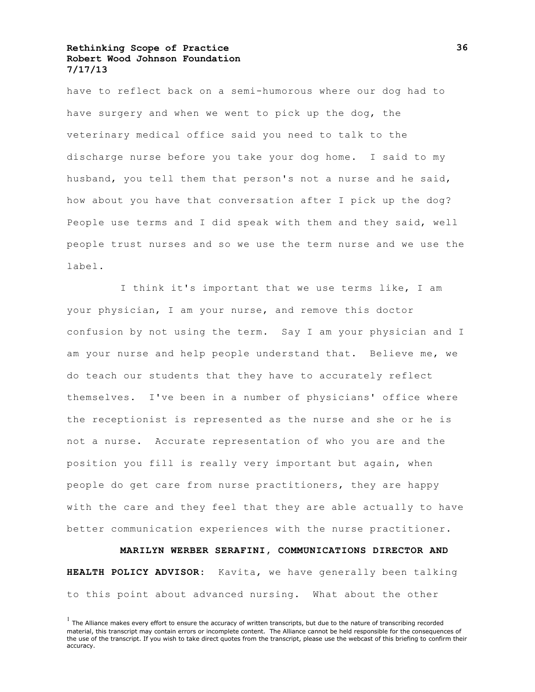have to reflect back on a semi-humorous where our dog had to have surgery and when we went to pick up the dog, the veterinary medical office said you need to talk to the discharge nurse before you take your dog home. I said to my husband, you tell them that person's not a nurse and he said, how about you have that conversation after I pick up the dog? People use terms and I did speak with them and they said, well people trust nurses and so we use the term nurse and we use the label.

I think it's important that we use terms like, I am your physician, I am your nurse, and remove this doctor confusion by not using the term. Say I am your physician and I am your nurse and help people understand that. Believe me, we do teach our students that they have to accurately reflect themselves. I've been in a number of physicians' office where the receptionist is represented as the nurse and she or he is not a nurse. Accurate representation of who you are and the position you fill is really very important but again, when people do get care from nurse practitioners, they are happy with the care and they feel that they are able actually to have better communication experiences with the nurse practitioner.

**MARILYN WERBER SERAFINI, COMMUNICATIONS DIRECTOR AND HEALTH POLICY ADVISOR:** Kavita, we have generally been talking to this point about advanced nursing. What about the other

 $<sup>1</sup>$  The Alliance makes every effort to ensure the accuracy of written transcripts, but due to the nature of transcribing recorded</sup> material, this transcript may contain errors or incomplete content. The Alliance cannot be held responsible for the consequences of the use of the transcript. If you wish to take direct quotes from the transcript, please use the webcast of this briefing to confirm their accuracy.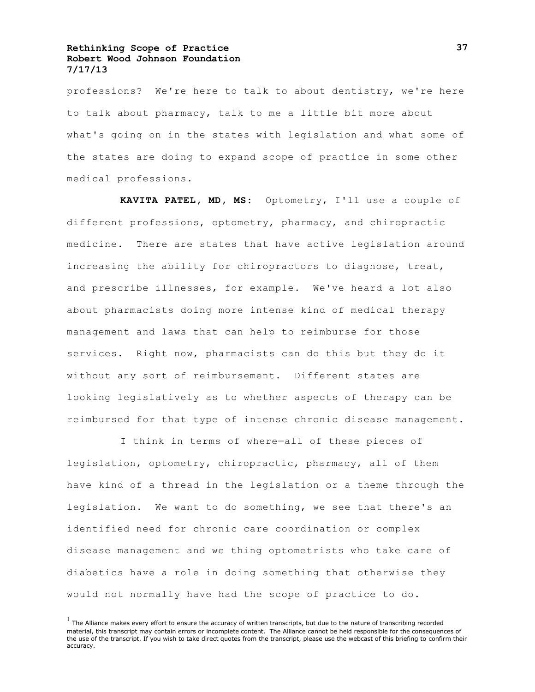professions? We're here to talk to about dentistry, we're here to talk about pharmacy, talk to me a little bit more about what's going on in the states with legislation and what some of the states are doing to expand scope of practice in some other medical professions.

**KAVITA PATEL, MD, MS:** Optometry, I'll use a couple of different professions, optometry, pharmacy, and chiropractic medicine. There are states that have active legislation around increasing the ability for chiropractors to diagnose, treat, and prescribe illnesses, for example. We've heard a lot also about pharmacists doing more intense kind of medical therapy management and laws that can help to reimburse for those services. Right now, pharmacists can do this but they do it without any sort of reimbursement. Different states are looking legislatively as to whether aspects of therapy can be reimbursed for that type of intense chronic disease management.

I think in terms of where—all of these pieces of legislation, optometry, chiropractic, pharmacy, all of them have kind of a thread in the legislation or a theme through the legislation. We want to do something, we see that there's an identified need for chronic care coordination or complex disease management and we thing optometrists who take care of diabetics have a role in doing something that otherwise they would not normally have had the scope of practice to do.

 $<sup>1</sup>$  The Alliance makes every effort to ensure the accuracy of written transcripts, but due to the nature of transcribing recorded</sup> material, this transcript may contain errors or incomplete content. The Alliance cannot be held responsible for the consequences of the use of the transcript. If you wish to take direct quotes from the transcript, please use the webcast of this briefing to confirm their accuracy.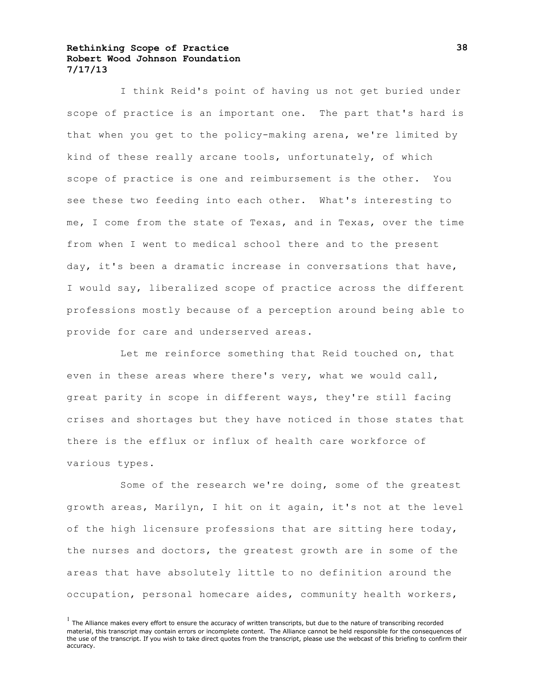I think Reid's point of having us not get buried under scope of practice is an important one. The part that's hard is that when you get to the policy-making arena, we're limited by kind of these really arcane tools, unfortunately, of which scope of practice is one and reimbursement is the other. You see these two feeding into each other. What's interesting to me, I come from the state of Texas, and in Texas, over the time from when I went to medical school there and to the present day, it's been a dramatic increase in conversations that have, I would say, liberalized scope of practice across the different professions mostly because of a perception around being able to provide for care and underserved areas.

Let me reinforce something that Reid touched on, that even in these areas where there's very, what we would call, great parity in scope in different ways, they're still facing crises and shortages but they have noticed in those states that there is the efflux or influx of health care workforce of various types.

Some of the research we're doing, some of the greatest growth areas, Marilyn, I hit on it again, it's not at the level of the high licensure professions that are sitting here today, the nurses and doctors, the greatest growth are in some of the areas that have absolutely little to no definition around the occupation, personal homecare aides, community health workers,

 $<sup>1</sup>$  The Alliance makes every effort to ensure the accuracy of written transcripts, but due to the nature of transcribing recorded</sup> material, this transcript may contain errors or incomplete content. The Alliance cannot be held responsible for the consequences of the use of the transcript. If you wish to take direct quotes from the transcript, please use the webcast of this briefing to confirm their accuracy.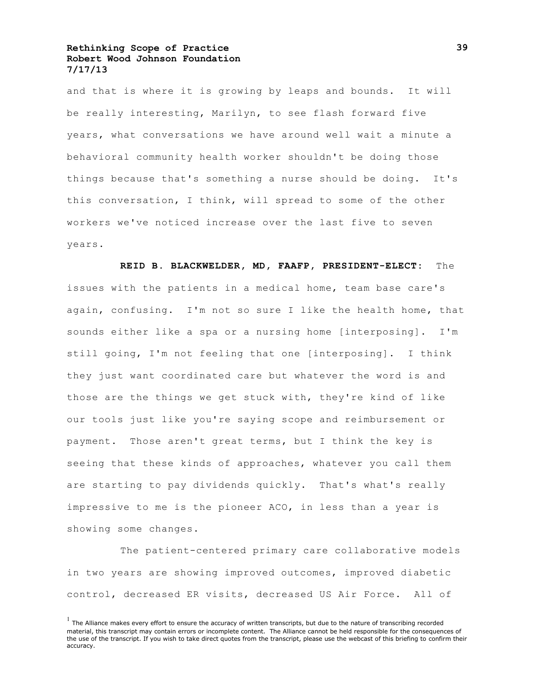and that is where it is growing by leaps and bounds. It will be really interesting, Marilyn, to see flash forward five years, what conversations we have around well wait a minute a behavioral community health worker shouldn't be doing those things because that's something a nurse should be doing. It's this conversation, I think, will spread to some of the other workers we've noticed increase over the last five to seven years.

**REID B. BLACKWELDER, MD, FAAFP, PRESIDENT-ELECT:** The issues with the patients in a medical home, team base care's again, confusing. I'm not so sure I like the health home, that sounds either like a spa or a nursing home [interposing]. I'm still going, I'm not feeling that one [interposing]. I think they just want coordinated care but whatever the word is and those are the things we get stuck with, they're kind of like our tools just like you're saying scope and reimbursement or payment. Those aren't great terms, but I think the key is seeing that these kinds of approaches, whatever you call them are starting to pay dividends quickly. That's what's really impressive to me is the pioneer ACO, in less than a year is showing some changes.

The patient-centered primary care collaborative models in two years are showing improved outcomes, improved diabetic control, decreased ER visits, decreased US Air Force. All of

 $<sup>1</sup>$  The Alliance makes every effort to ensure the accuracy of written transcripts, but due to the nature of transcribing recorded</sup> material, this transcript may contain errors or incomplete content. The Alliance cannot be held responsible for the consequences of the use of the transcript. If you wish to take direct quotes from the transcript, please use the webcast of this briefing to confirm their accuracy.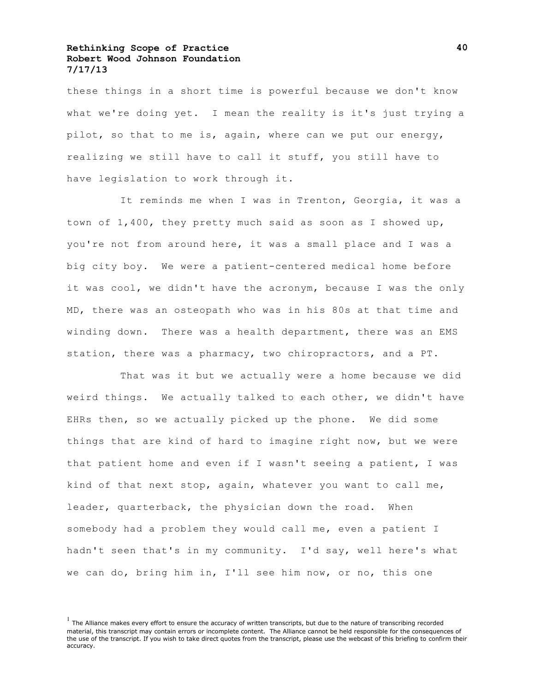these things in a short time is powerful because we don't know what we're doing yet. I mean the reality is it's just trying a pilot, so that to me is, again, where can we put our energy, realizing we still have to call it stuff, you still have to have legislation to work through it.

It reminds me when I was in Trenton, Georgia, it was a town of 1,400, they pretty much said as soon as I showed up, you're not from around here, it was a small place and I was a big city boy. We were a patient-centered medical home before it was cool, we didn't have the acronym, because I was the only MD, there was an osteopath who was in his 80s at that time and winding down. There was a health department, there was an EMS station, there was a pharmacy, two chiropractors, and a PT.

That was it but we actually were a home because we did weird things. We actually talked to each other, we didn't have EHRs then, so we actually picked up the phone. We did some things that are kind of hard to imagine right now, but we were that patient home and even if I wasn't seeing a patient, I was kind of that next stop, again, whatever you want to call me, leader, quarterback, the physician down the road. When somebody had a problem they would call me, even a patient I hadn't seen that's in my community. I'd say, well here's what we can do, bring him in, I'll see him now, or no, this one

 $<sup>1</sup>$  The Alliance makes every effort to ensure the accuracy of written transcripts, but due to the nature of transcribing recorded</sup> material, this transcript may contain errors or incomplete content. The Alliance cannot be held responsible for the consequences of the use of the transcript. If you wish to take direct quotes from the transcript, please use the webcast of this briefing to confirm their accuracy.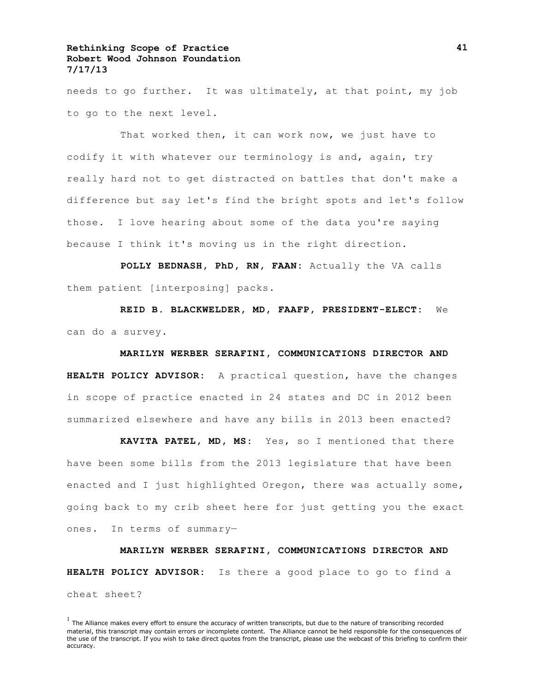needs to go further. It was ultimately, at that point, my job to go to the next level.

That worked then, it can work now, we just have to codify it with whatever our terminology is and, again, try really hard not to get distracted on battles that don't make a difference but say let's find the bright spots and let's follow those. I love hearing about some of the data you're saying because I think it's moving us in the right direction.

**POLLY BEDNASH, PhD, RN, FAAN:** Actually the VA calls them patient [interposing] packs.

**REID B. BLACKWELDER, MD, FAAFP, PRESIDENT-ELECT:** We can do a survey.

#### **MARILYN WERBER SERAFINI, COMMUNICATIONS DIRECTOR AND**

**HEALTH POLICY ADVISOR:** A practical question, have the changes in scope of practice enacted in 24 states and DC in 2012 been summarized elsewhere and have any bills in 2013 been enacted?

**KAVITA PATEL, MD, MS:** Yes, so I mentioned that there have been some bills from the 2013 legislature that have been enacted and I just highlighted Oregon, there was actually some, going back to my crib sheet here for just getting you the exact ones. In terms of summary—

**MARILYN WERBER SERAFINI, COMMUNICATIONS DIRECTOR AND HEALTH POLICY ADVISOR:** Is there a good place to go to find a cheat sheet?

 $<sup>1</sup>$  The Alliance makes every effort to ensure the accuracy of written transcripts, but due to the nature of transcribing recorded</sup> material, this transcript may contain errors or incomplete content. The Alliance cannot be held responsible for the consequences of the use of the transcript. If you wish to take direct quotes from the transcript, please use the webcast of this briefing to confirm their accuracy.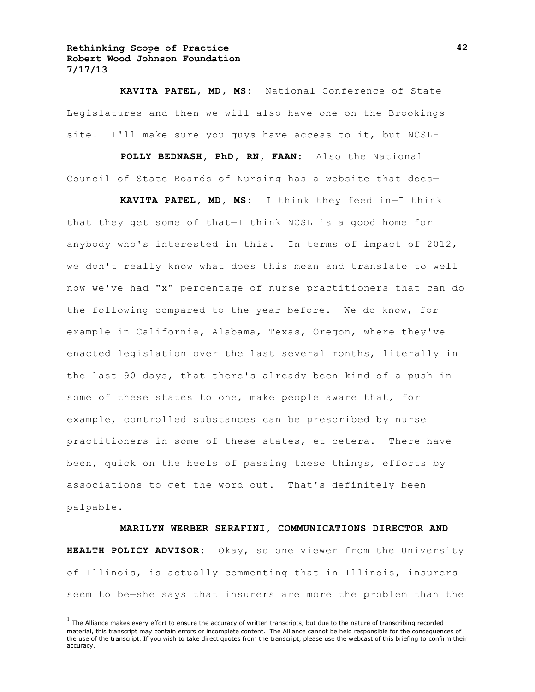**KAVITA PATEL, MD, MS:** National Conference of State Legislatures and then we will also have one on the Brookings site. I'll make sure you guys have access to it, but NCSL–

**POLLY BEDNASH, PhD, RN, FAAN:** Also the National Council of State Boards of Nursing has a website that does—

**KAVITA PATEL, MD, MS:** I think they feed in—I think that they get some of that—I think NCSL is a good home for anybody who's interested in this. In terms of impact of 2012, we don't really know what does this mean and translate to well now we've had "x" percentage of nurse practitioners that can do the following compared to the year before. We do know, for example in California, Alabama, Texas, Oregon, where they've enacted legislation over the last several months, literally in the last 90 days, that there's already been kind of a push in some of these states to one, make people aware that, for example, controlled substances can be prescribed by nurse practitioners in some of these states, et cetera. There have been, quick on the heels of passing these things, efforts by associations to get the word out. That's definitely been palpable.

**MARILYN WERBER SERAFINI, COMMUNICATIONS DIRECTOR AND HEALTH POLICY ADVISOR:** Okay, so one viewer from the University of Illinois, is actually commenting that in Illinois, insurers seem to be—she says that insurers are more the problem than the

 $<sup>1</sup>$  The Alliance makes every effort to ensure the accuracy of written transcripts, but due to the nature of transcribing recorded</sup> material, this transcript may contain errors or incomplete content. The Alliance cannot be held responsible for the consequences of the use of the transcript. If you wish to take direct quotes from the transcript, please use the webcast of this briefing to confirm their accuracy.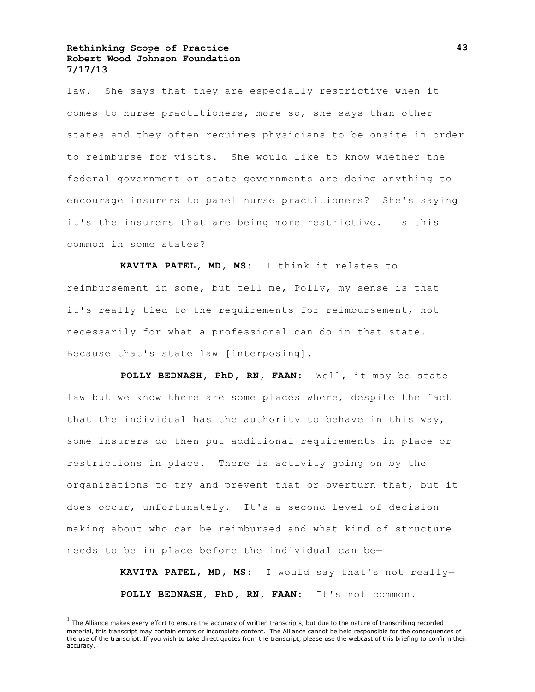law. She says that they are especially restrictive when it comes to nurse practitioners, more so, she says than other states and they often requires physicians to be onsite in order to reimburse for visits. She would like to know whether the federal government or state governments are doing anything to encourage insurers to panel nurse practitioners? She's saying it's the insurers that are being more restrictive. Is this common in some states?

**KAVITA PATEL, MD, MS:** I think it relates to reimbursement in some, but tell me, Polly, my sense is that it's really tied to the requirements for reimbursement, not necessarily for what a professional can do in that state. Because that's state law [interposing].

**POLLY BEDNASH, PhD, RN, FAAN:** Well, it may be state law but we know there are some places where, despite the fact that the individual has the authority to behave in this way, some insurers do then put additional requirements in place or restrictions in place. There is activity going on by the organizations to try and prevent that or overturn that, but it does occur, unfortunately. It's a second level of decisionmaking about who can be reimbursed and what kind of structure needs to be in place before the individual can be—

> **KAVITA PATEL, MD, MS:** I would say that's not really— **POLLY BEDNASH, PhD, RN, FAAN:** It's not common.

 $<sup>1</sup>$  The Alliance makes every effort to ensure the accuracy of written transcripts, but due to the nature of transcribing recorded</sup> material, this transcript may contain errors or incomplete content. The Alliance cannot be held responsible for the consequences of the use of the transcript. If you wish to take direct quotes from the transcript, please use the webcast of this briefing to confirm their accuracy.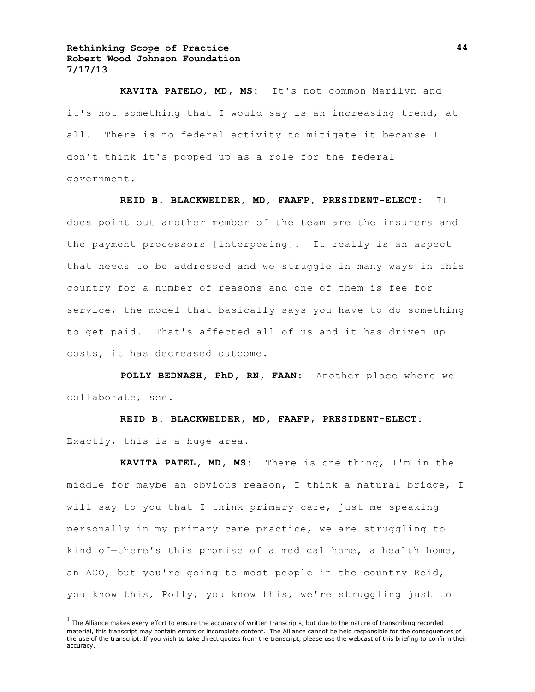**KAVITA PATELO, MD, MS:** It's not common Marilyn and it's not something that I would say is an increasing trend, at all. There is no federal activity to mitigate it because I don't think it's popped up as a role for the federal government.

#### **REID B. BLACKWELDER, MD, FAAFP, PRESIDENT-ELECT**: It

does point out another member of the team are the insurers and the payment processors [interposing]. It really is an aspect that needs to be addressed and we struggle in many ways in this country for a number of reasons and one of them is fee for service, the model that basically says you have to do something to get paid. That's affected all of us and it has driven up costs, it has decreased outcome.

**POLLY BEDNASH, PhD, RN, FAAN:** Another place where we collaborate, see.

**REID B. BLACKWELDER, MD, FAAFP, PRESIDENT-ELECT:** Exactly, this is a huge area.

**KAVITA PATEL, MD, MS:** There is one thing, I'm in the middle for maybe an obvious reason, I think a natural bridge, I will say to you that I think primary care, just me speaking personally in my primary care practice, we are struggling to kind of—there's this promise of a medical home, a health home, an ACO, but you're going to most people in the country Reid, you know this, Polly, you know this, we're struggling just to

 $<sup>1</sup>$  The Alliance makes every effort to ensure the accuracy of written transcripts, but due to the nature of transcribing recorded</sup> material, this transcript may contain errors or incomplete content. The Alliance cannot be held responsible for the consequences of the use of the transcript. If you wish to take direct quotes from the transcript, please use the webcast of this briefing to confirm their accuracy.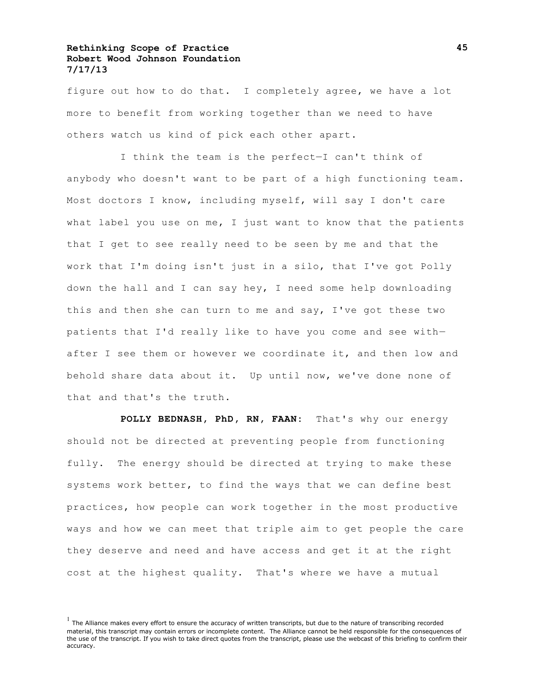figure out how to do that. I completely agree, we have a lot more to benefit from working together than we need to have others watch us kind of pick each other apart.

I think the team is the perfect—I can't think of anybody who doesn't want to be part of a high functioning team. Most doctors I know, including myself, will say I don't care what label you use on me, I just want to know that the patients that I get to see really need to be seen by me and that the work that I'm doing isn't just in a silo, that I've got Polly down the hall and I can say hey, I need some help downloading this and then she can turn to me and say, I've got these two patients that I'd really like to have you come and see with after I see them or however we coordinate it, and then low and behold share data about it. Up until now, we've done none of that and that's the truth.

**POLLY BEDNASH, PhD, RN, FAAN:** That's why our energy should not be directed at preventing people from functioning fully. The energy should be directed at trying to make these systems work better, to find the ways that we can define best practices, how people can work together in the most productive ways and how we can meet that triple aim to get people the care they deserve and need and have access and get it at the right cost at the highest quality. That's where we have a mutual

 $<sup>1</sup>$  The Alliance makes every effort to ensure the accuracy of written transcripts, but due to the nature of transcribing recorded</sup> material, this transcript may contain errors or incomplete content. The Alliance cannot be held responsible for the consequences of the use of the transcript. If you wish to take direct quotes from the transcript, please use the webcast of this briefing to confirm their accuracy.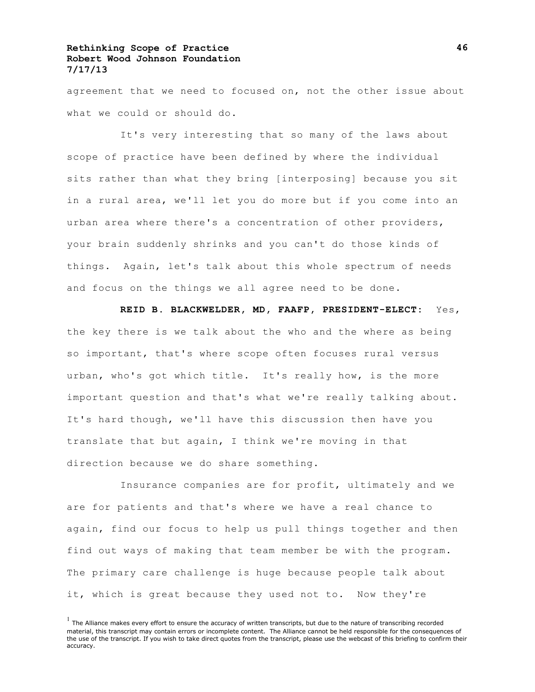agreement that we need to focused on, not the other issue about what we could or should do.

It's very interesting that so many of the laws about scope of practice have been defined by where the individual sits rather than what they bring [interposing] because you sit in a rural area, we'll let you do more but if you come into an urban area where there's a concentration of other providers, your brain suddenly shrinks and you can't do those kinds of things. Again, let's talk about this whole spectrum of needs and focus on the things we all agree need to be done.

**REID B. BLACKWELDER, MD, FAAFP, PRESIDENT-ELECT:** Yes, the key there is we talk about the who and the where as being so important, that's where scope often focuses rural versus urban, who's got which title. It's really how, is the more important question and that's what we're really talking about. It's hard though, we'll have this discussion then have you translate that but again, I think we're moving in that direction because we do share something.

Insurance companies are for profit, ultimately and we are for patients and that's where we have a real chance to again, find our focus to help us pull things together and then find out ways of making that team member be with the program. The primary care challenge is huge because people talk about it, which is great because they used not to. Now they're

 $<sup>1</sup>$  The Alliance makes every effort to ensure the accuracy of written transcripts, but due to the nature of transcribing recorded</sup> material, this transcript may contain errors or incomplete content. The Alliance cannot be held responsible for the consequences of the use of the transcript. If you wish to take direct quotes from the transcript, please use the webcast of this briefing to confirm their accuracy.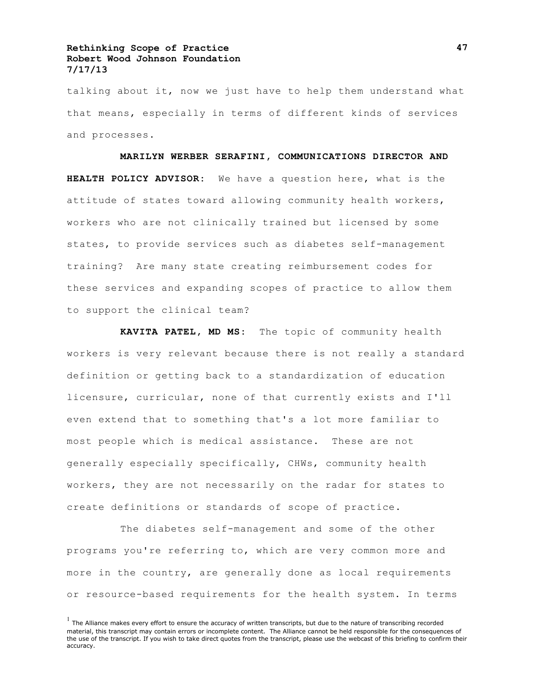talking about it, now we just have to help them understand what that means, especially in terms of different kinds of services and processes.

**MARILYN WERBER SERAFINI, COMMUNICATIONS DIRECTOR AND HEALTH POLICY ADVISOR:** We have a question here, what is the attitude of states toward allowing community health workers, workers who are not clinically trained but licensed by some states, to provide services such as diabetes self-management training? Are many state creating reimbursement codes for these services and expanding scopes of practice to allow them to support the clinical team?

**KAVITA PATEL, MD MS:** The topic of community health workers is very relevant because there is not really a standard definition or getting back to a standardization of education licensure, curricular, none of that currently exists and I'll even extend that to something that's a lot more familiar to most people which is medical assistance. These are not generally especially specifically, CHWs, community health workers, they are not necessarily on the radar for states to create definitions or standards of scope of practice.

The diabetes self-management and some of the other programs you're referring to, which are very common more and more in the country, are generally done as local requirements or resource-based requirements for the health system. In terms

 $<sup>1</sup>$  The Alliance makes every effort to ensure the accuracy of written transcripts, but due to the nature of transcribing recorded</sup> material, this transcript may contain errors or incomplete content. The Alliance cannot be held responsible for the consequences of the use of the transcript. If you wish to take direct quotes from the transcript, please use the webcast of this briefing to confirm their accuracy.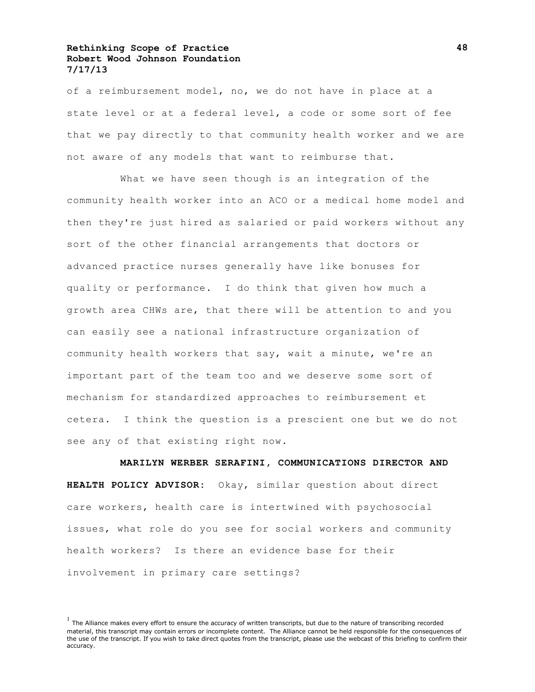of a reimbursement model, no, we do not have in place at a state level or at a federal level, a code or some sort of fee that we pay directly to that community health worker and we are not aware of any models that want to reimburse that.

What we have seen though is an integration of the community health worker into an ACO or a medical home model and then they're just hired as salaried or paid workers without any sort of the other financial arrangements that doctors or advanced practice nurses generally have like bonuses for quality or performance. I do think that given how much a growth area CHWs are, that there will be attention to and you can easily see a national infrastructure organization of community health workers that say, wait a minute, we're an important part of the team too and we deserve some sort of mechanism for standardized approaches to reimbursement et cetera. I think the question is a prescient one but we do not see any of that existing right now.

**MARILYN WERBER SERAFINI, COMMUNICATIONS DIRECTOR AND HEALTH POLICY ADVISOR:** Okay, similar question about direct care workers, health care is intertwined with psychosocial issues, what role do you see for social workers and community health workers? Is there an evidence base for their involvement in primary care settings?

 $<sup>1</sup>$  The Alliance makes every effort to ensure the accuracy of written transcripts, but due to the nature of transcribing recorded</sup> material, this transcript may contain errors or incomplete content. The Alliance cannot be held responsible for the consequences of the use of the transcript. If you wish to take direct quotes from the transcript, please use the webcast of this briefing to confirm their accuracy.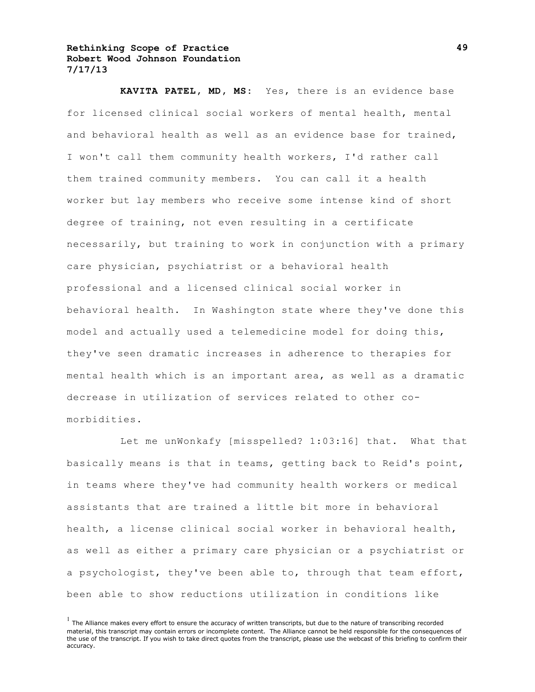**KAVITA PATEL, MD, MS:** Yes, there is an evidence base for licensed clinical social workers of mental health, mental and behavioral health as well as an evidence base for trained, I won't call them community health workers, I'd rather call them trained community members. You can call it a health worker but lay members who receive some intense kind of short degree of training, not even resulting in a certificate necessarily, but training to work in conjunction with a primary care physician, psychiatrist or a behavioral health professional and a licensed clinical social worker in behavioral health. In Washington state where they've done this model and actually used a telemedicine model for doing this, they've seen dramatic increases in adherence to therapies for mental health which is an important area, as well as a dramatic decrease in utilization of services related to other comorbidities.

Let me unWonkafy [misspelled? 1:03:16] that. What that basically means is that in teams, getting back to Reid's point, in teams where they've had community health workers or medical assistants that are trained a little bit more in behavioral health, a license clinical social worker in behavioral health, as well as either a primary care physician or a psychiatrist or a psychologist, they've been able to, through that team effort, been able to show reductions utilization in conditions like

 $<sup>1</sup>$  The Alliance makes every effort to ensure the accuracy of written transcripts, but due to the nature of transcribing recorded</sup> material, this transcript may contain errors or incomplete content. The Alliance cannot be held responsible for the consequences of the use of the transcript. If you wish to take direct quotes from the transcript, please use the webcast of this briefing to confirm their accuracy.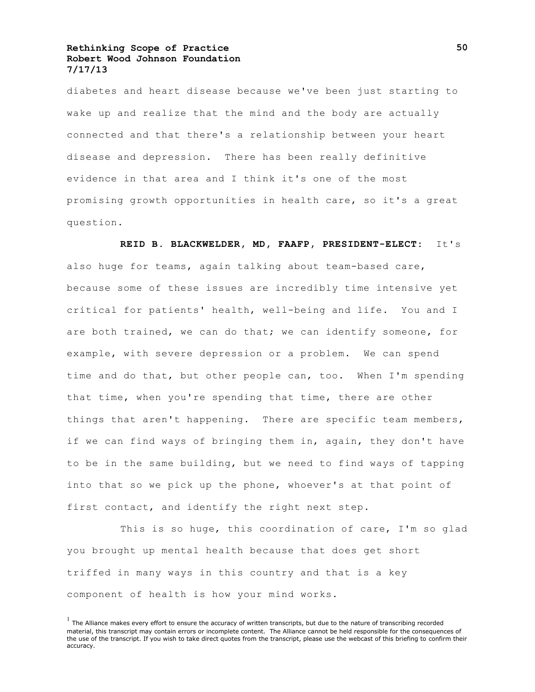diabetes and heart disease because we've been just starting to wake up and realize that the mind and the body are actually connected and that there's a relationship between your heart disease and depression. There has been really definitive evidence in that area and I think it's one of the most promising growth opportunities in health care, so it's a great question.

**REID B. BLACKWELDER, MD, FAAFP, PRESIDENT-ELECT:** It's also huge for teams, again talking about team-based care, because some of these issues are incredibly time intensive yet critical for patients' health, well-being and life. You and I are both trained, we can do that; we can identify someone, for example, with severe depression or a problem. We can spend time and do that, but other people can, too. When I'm spending that time, when you're spending that time, there are other things that aren't happening. There are specific team members, if we can find ways of bringing them in, again, they don't have to be in the same building, but we need to find ways of tapping into that so we pick up the phone, whoever's at that point of first contact, and identify the right next step.

This is so huge, this coordination of care, I'm so glad you brought up mental health because that does get short triffed in many ways in this country and that is a key component of health is how your mind works.

 $<sup>1</sup>$  The Alliance makes every effort to ensure the accuracy of written transcripts, but due to the nature of transcribing recorded</sup> material, this transcript may contain errors or incomplete content. The Alliance cannot be held responsible for the consequences of the use of the transcript. If you wish to take direct quotes from the transcript, please use the webcast of this briefing to confirm their accuracy.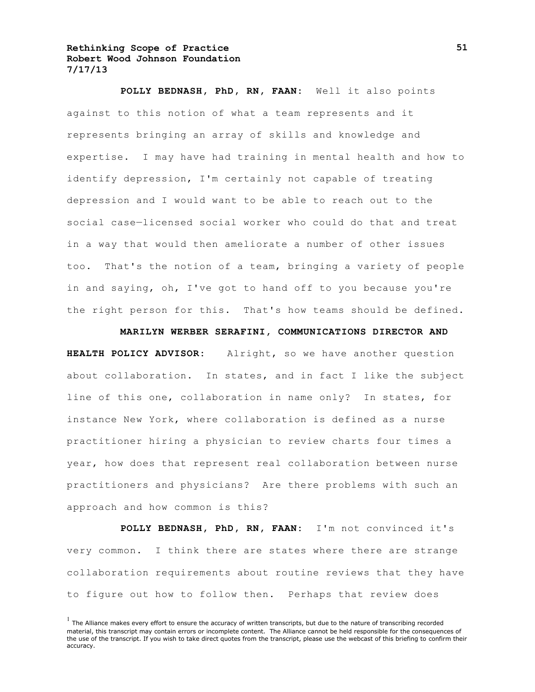**POLLY BEDNASH, PhD, RN, FAAN:** Well it also points against to this notion of what a team represents and it represents bringing an array of skills and knowledge and expertise. I may have had training in mental health and how to identify depression, I'm certainly not capable of treating depression and I would want to be able to reach out to the social case—licensed social worker who could do that and treat in a way that would then ameliorate a number of other issues too. That's the notion of a team, bringing a variety of people in and saying, oh, I've got to hand off to you because you're the right person for this. That's how teams should be defined.

#### **MARILYN WERBER SERAFINI, COMMUNICATIONS DIRECTOR AND**

**HEALTH POLICY ADVISOR:** Alright, so we have another question about collaboration. In states, and in fact I like the subject line of this one, collaboration in name only? In states, for instance New York, where collaboration is defined as a nurse practitioner hiring a physician to review charts four times a year, how does that represent real collaboration between nurse practitioners and physicians? Are there problems with such an approach and how common is this?

**POLLY BEDNASH, PhD, RN, FAAN:** I'm not convinced it's very common. I think there are states where there are strange collaboration requirements about routine reviews that they have to figure out how to follow then. Perhaps that review does

 $<sup>1</sup>$  The Alliance makes every effort to ensure the accuracy of written transcripts, but due to the nature of transcribing recorded</sup> material, this transcript may contain errors or incomplete content. The Alliance cannot be held responsible for the consequences of the use of the transcript. If you wish to take direct quotes from the transcript, please use the webcast of this briefing to confirm their accuracy.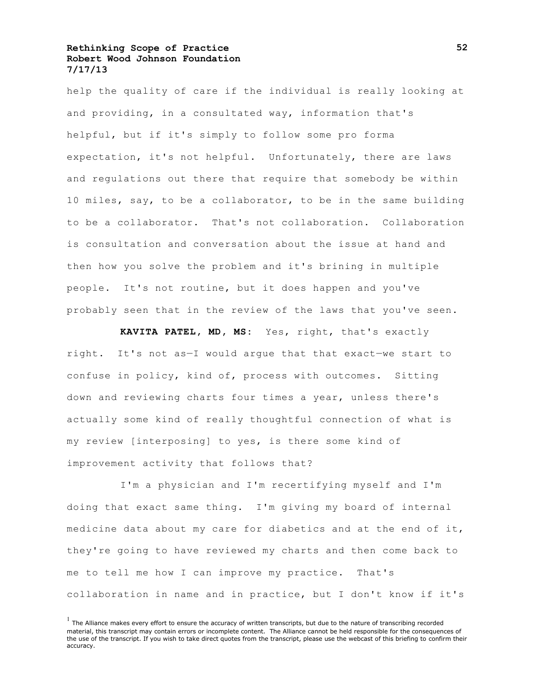help the quality of care if the individual is really looking at and providing, in a consultated way, information that's helpful, but if it's simply to follow some pro forma expectation, it's not helpful. Unfortunately, there are laws and regulations out there that require that somebody be within 10 miles, say, to be a collaborator, to be in the same building to be a collaborator. That's not collaboration. Collaboration is consultation and conversation about the issue at hand and then how you solve the problem and it's brining in multiple people. It's not routine, but it does happen and you've probably seen that in the review of the laws that you've seen.

**KAVITA PATEL, MD, MS:** Yes, right, that's exactly right. It's not as—I would argue that that exact—we start to confuse in policy, kind of, process with outcomes. Sitting down and reviewing charts four times a year, unless there's actually some kind of really thoughtful connection of what is my review [interposing] to yes, is there some kind of improvement activity that follows that?

I'm a physician and I'm recertifying myself and I'm doing that exact same thing. I'm giving my board of internal medicine data about my care for diabetics and at the end of it, they're going to have reviewed my charts and then come back to me to tell me how I can improve my practice. That's collaboration in name and in practice, but I don't know if it's

 $<sup>1</sup>$  The Alliance makes every effort to ensure the accuracy of written transcripts, but due to the nature of transcribing recorded</sup> material, this transcript may contain errors or incomplete content. The Alliance cannot be held responsible for the consequences of the use of the transcript. If you wish to take direct quotes from the transcript, please use the webcast of this briefing to confirm their accuracy.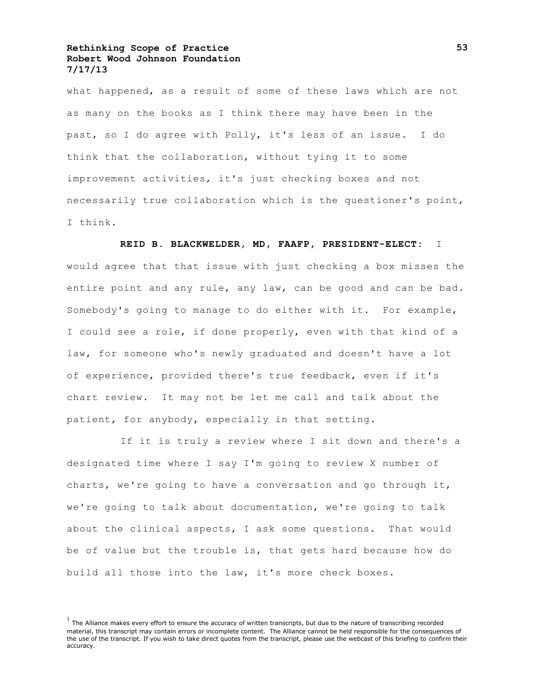what happened, as a result of some of these laws which are not as many on the books as I think there may have been in the past, so I do agree with Polly, it's less of an issue. I do think that the collaboration, without tying it to some improvement activities, it's just checking boxes and not necessarily true collaboration which is the questioner's point, I think.

# **REID B. BLACKWELDER, MD, FAAFP, PRESIDENT-ELECT:** I

would agree that that issue with just checking a box misses the entire point and any rule, any law, can be good and can be bad. Somebody's going to manage to do either with it. For example, I could see a role, if done properly, even with that kind of a law, for someone who's newly graduated and doesn't have a lot of experience, provided there's true feedback, even if it's chart review. It may not be let me call and talk about the patient, for anybody, especially in that setting.

If it is truly a review where I sit down and there's a designated time where I say I'm going to review X number of charts, we're going to have a conversation and go through it, we're going to talk about documentation, we're going to talk about the clinical aspects, I ask some questions. That would be of value but the trouble is, that gets hard because how do build all those into the law, it's more check boxes.

 $<sup>1</sup>$  The Alliance makes every effort to ensure the accuracy of written transcripts, but due to the nature of transcribing recorded</sup> material, this transcript may contain errors or incomplete content. The Alliance cannot be held responsible for the consequences of the use of the transcript. If you wish to take direct quotes from the transcript, please use the webcast of this briefing to confirm their accuracy.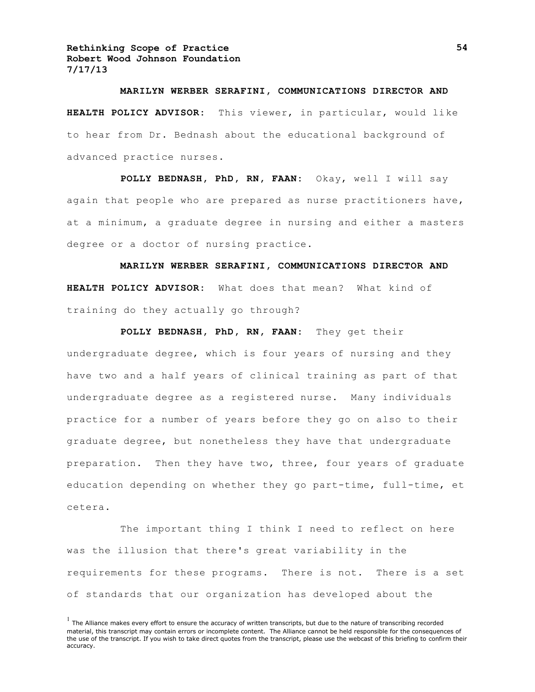# **MARILYN WERBER SERAFINI, COMMUNICATIONS DIRECTOR AND HEALTH POLICY ADVISOR:** This viewer, in particular, would like to hear from Dr. Bednash about the educational background of advanced practice nurses.

**POLLY BEDNASH, PhD, RN, FAAN:** Okay, well I will say again that people who are prepared as nurse practitioners have, at a minimum, a graduate degree in nursing and either a masters degree or a doctor of nursing practice.

**MARILYN WERBER SERAFINI, COMMUNICATIONS DIRECTOR AND HEALTH POLICY ADVISOR:** What does that mean? What kind of training do they actually go through?

**POLLY BEDNASH, PhD, RN, FAAN:** They get their undergraduate degree, which is four years of nursing and they have two and a half years of clinical training as part of that undergraduate degree as a registered nurse. Many individuals practice for a number of years before they go on also to their graduate degree, but nonetheless they have that undergraduate preparation. Then they have two, three, four years of graduate education depending on whether they go part-time, full-time, et cetera.

The important thing I think I need to reflect on here was the illusion that there's great variability in the requirements for these programs. There is not. There is a set of standards that our organization has developed about the

 $<sup>1</sup>$  The Alliance makes every effort to ensure the accuracy of written transcripts, but due to the nature of transcribing recorded</sup> material, this transcript may contain errors or incomplete content. The Alliance cannot be held responsible for the consequences of the use of the transcript. If you wish to take direct quotes from the transcript, please use the webcast of this briefing to confirm their accuracy.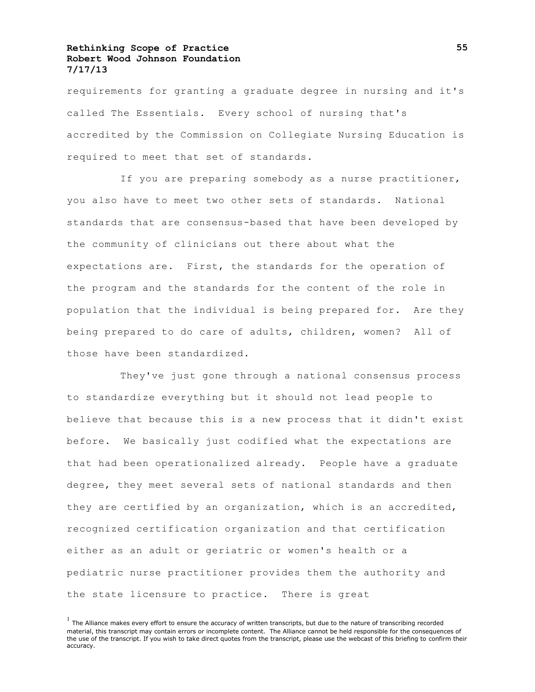requirements for granting a graduate degree in nursing and it's called The Essentials. Every school of nursing that's accredited by the Commission on Collegiate Nursing Education is required to meet that set of standards.

If you are preparing somebody as a nurse practitioner, you also have to meet two other sets of standards. National standards that are consensus-based that have been developed by the community of clinicians out there about what the expectations are. First, the standards for the operation of the program and the standards for the content of the role in population that the individual is being prepared for. Are they being prepared to do care of adults, children, women? All of those have been standardized.

They've just gone through a national consensus process to standardize everything but it should not lead people to believe that because this is a new process that it didn't exist before. We basically just codified what the expectations are that had been operationalized already. People have a graduate degree, they meet several sets of national standards and then they are certified by an organization, which is an accredited, recognized certification organization and that certification either as an adult or geriatric or women's health or a pediatric nurse practitioner provides them the authority and the state licensure to practice. There is great

 $<sup>1</sup>$  The Alliance makes every effort to ensure the accuracy of written transcripts, but due to the nature of transcribing recorded</sup> material, this transcript may contain errors or incomplete content. The Alliance cannot be held responsible for the consequences of the use of the transcript. If you wish to take direct quotes from the transcript, please use the webcast of this briefing to confirm their accuracy.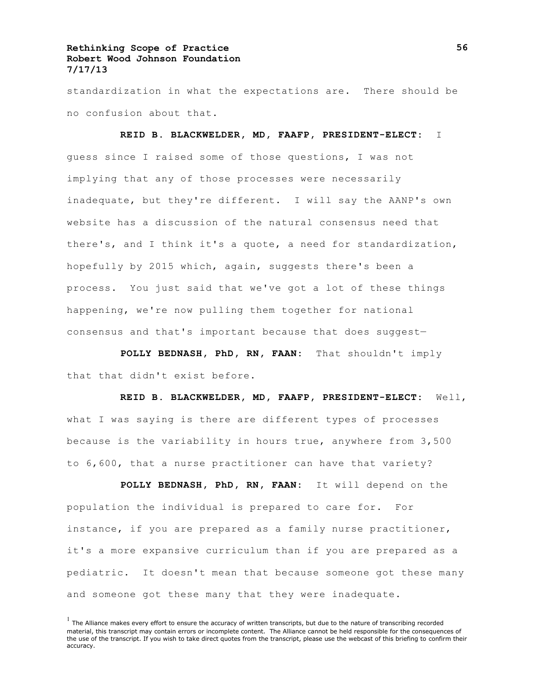standardization in what the expectations are. There should be no confusion about that.

**REID B. BLACKWELDER, MD, FAAFP, PRESIDENT-ELECT:** I guess since I raised some of those questions, I was not implying that any of those processes were necessarily inadequate, but they're different. I will say the AANP's own website has a discussion of the natural consensus need that there's, and I think it's a quote, a need for standardization, hopefully by 2015 which, again, suggests there's been a process. You just said that we've got a lot of these things happening, we're now pulling them together for national consensus and that's important because that does suggest—

**POLLY BEDNASH, PhD, RN, FAAN:** That shouldn't imply that that didn't exist before.

**REID B. BLACKWELDER, MD, FAAFP, PRESIDENT-ELECT:** Well, what I was saying is there are different types of processes because is the variability in hours true, anywhere from 3,500 to 6,600, that a nurse practitioner can have that variety?

**POLLY BEDNASH, PhD, RN, FAAN:** It will depend on the population the individual is prepared to care for. For instance, if you are prepared as a family nurse practitioner, it's a more expansive curriculum than if you are prepared as a pediatric. It doesn't mean that because someone got these many and someone got these many that they were inadequate.

 $<sup>1</sup>$  The Alliance makes every effort to ensure the accuracy of written transcripts, but due to the nature of transcribing recorded</sup> material, this transcript may contain errors or incomplete content. The Alliance cannot be held responsible for the consequences of the use of the transcript. If you wish to take direct quotes from the transcript, please use the webcast of this briefing to confirm their accuracy.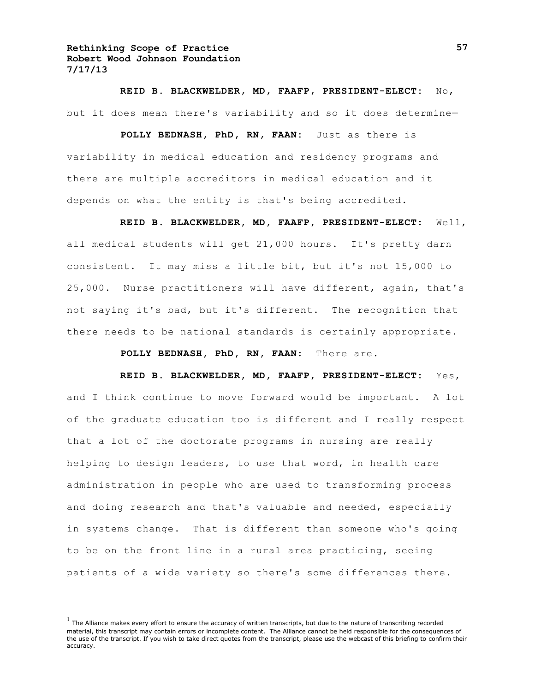**REID B. BLACKWELDER, MD, FAAFP, PRESIDENT-ELECT:** No, but it does mean there's variability and so it does determine—

**POLLY BEDNASH, PhD, RN, FAAN:** Just as there is variability in medical education and residency programs and there are multiple accreditors in medical education and it depends on what the entity is that's being accredited.

**REID B. BLACKWELDER, MD, FAAFP, PRESIDENT-ELECT:** Well, all medical students will get 21,000 hours. It's pretty darn consistent. It may miss a little bit, but it's not 15,000 to 25,000. Nurse practitioners will have different, again, that's not saying it's bad, but it's different. The recognition that there needs to be national standards is certainly appropriate.

**POLLY BEDNASH, PhD, RN, FAAN:** There are.

**REID B. BLACKWELDER, MD, FAAFP, PRESIDENT-ELECT:** Yes, and I think continue to move forward would be important. A lot of the graduate education too is different and I really respect that a lot of the doctorate programs in nursing are really helping to design leaders, to use that word, in health care administration in people who are used to transforming process and doing research and that's valuable and needed, especially in systems change. That is different than someone who's going to be on the front line in a rural area practicing, seeing patients of a wide variety so there's some differences there.

 $<sup>1</sup>$  The Alliance makes every effort to ensure the accuracy of written transcripts, but due to the nature of transcribing recorded</sup> material, this transcript may contain errors or incomplete content. The Alliance cannot be held responsible for the consequences of the use of the transcript. If you wish to take direct quotes from the transcript, please use the webcast of this briefing to confirm their accuracy.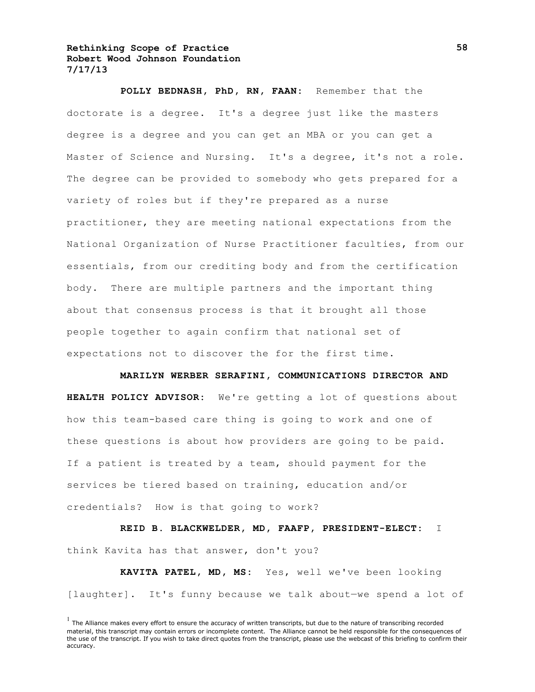**POLLY BEDNASH, PhD, RN, FAAN:** Remember that the doctorate is a degree. It's a degree just like the masters degree is a degree and you can get an MBA or you can get a Master of Science and Nursing. It's a degree, it's not a role. The degree can be provided to somebody who gets prepared for a variety of roles but if they're prepared as a nurse practitioner, they are meeting national expectations from the National Organization of Nurse Practitioner faculties, from our essentials, from our crediting body and from the certification body. There are multiple partners and the important thing about that consensus process is that it brought all those people together to again confirm that national set of expectations not to discover the for the first time.

**MARILYN WERBER SERAFINI, COMMUNICATIONS DIRECTOR AND HEALTH POLICY ADVISOR:** We're getting a lot of questions about how this team-based care thing is going to work and one of these questions is about how providers are going to be paid. If a patient is treated by a team, should payment for the services be tiered based on training, education and/or credentials? How is that going to work?

**REID B. BLACKWELDER, MD, FAAFP, PRESIDENT-ELECT:** I think Kavita has that answer, don't you?

**KAVITA PATEL, MD, MS:** Yes, well we've been looking [laughter]. It's funny because we talk about—we spend a lot of

 $<sup>1</sup>$  The Alliance makes every effort to ensure the accuracy of written transcripts, but due to the nature of transcribing recorded</sup> material, this transcript may contain errors or incomplete content. The Alliance cannot be held responsible for the consequences of the use of the transcript. If you wish to take direct quotes from the transcript, please use the webcast of this briefing to confirm their accuracy.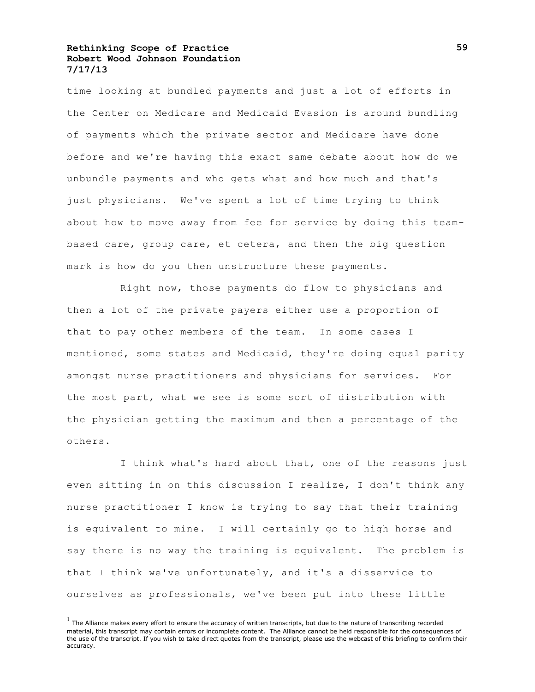time looking at bundled payments and just a lot of efforts in the Center on Medicare and Medicaid Evasion is around bundling of payments which the private sector and Medicare have done before and we're having this exact same debate about how do we unbundle payments and who gets what and how much and that's just physicians. We've spent a lot of time trying to think about how to move away from fee for service by doing this teambased care, group care, et cetera, and then the big question mark is how do you then unstructure these payments.

Right now, those payments do flow to physicians and then a lot of the private payers either use a proportion of that to pay other members of the team. In some cases I mentioned, some states and Medicaid, they're doing equal parity amongst nurse practitioners and physicians for services. For the most part, what we see is some sort of distribution with the physician getting the maximum and then a percentage of the others.

I think what's hard about that, one of the reasons just even sitting in on this discussion I realize, I don't think any nurse practitioner I know is trying to say that their training is equivalent to mine. I will certainly go to high horse and say there is no way the training is equivalent. The problem is that I think we've unfortunately, and it's a disservice to ourselves as professionals, we've been put into these little

 $<sup>1</sup>$  The Alliance makes every effort to ensure the accuracy of written transcripts, but due to the nature of transcribing recorded</sup> material, this transcript may contain errors or incomplete content. The Alliance cannot be held responsible for the consequences of the use of the transcript. If you wish to take direct quotes from the transcript, please use the webcast of this briefing to confirm their accuracy.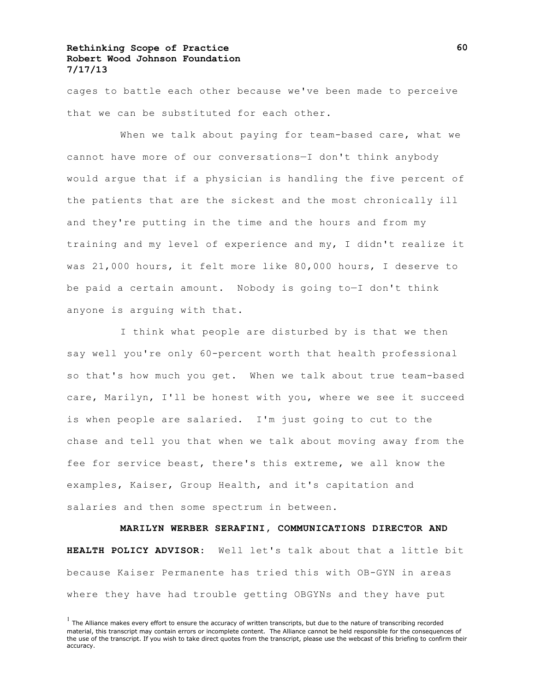cages to battle each other because we've been made to perceive that we can be substituted for each other.

When we talk about paying for team-based care, what we cannot have more of our conversations—I don't think anybody would argue that if a physician is handling the five percent of the patients that are the sickest and the most chronically ill and they're putting in the time and the hours and from my training and my level of experience and my, I didn't realize it was 21,000 hours, it felt more like 80,000 hours, I deserve to be paid a certain amount. Nobody is going to—I don't think anyone is arguing with that.

I think what people are disturbed by is that we then say well you're only 60-percent worth that health professional so that's how much you get. When we talk about true team-based care, Marilyn, I'll be honest with you, where we see it succeed is when people are salaried. I'm just going to cut to the chase and tell you that when we talk about moving away from the fee for service beast, there's this extreme, we all know the examples, Kaiser, Group Health, and it's capitation and salaries and then some spectrum in between.

**MARILYN WERBER SERAFINI, COMMUNICATIONS DIRECTOR AND HEALTH POLICY ADVISOR:** Well let's talk about that a little bit because Kaiser Permanente has tried this with OB-GYN in areas where they have had trouble getting OBGYNs and they have put

 $<sup>1</sup>$  The Alliance makes every effort to ensure the accuracy of written transcripts, but due to the nature of transcribing recorded</sup> material, this transcript may contain errors or incomplete content. The Alliance cannot be held responsible for the consequences of the use of the transcript. If you wish to take direct quotes from the transcript, please use the webcast of this briefing to confirm their accuracy.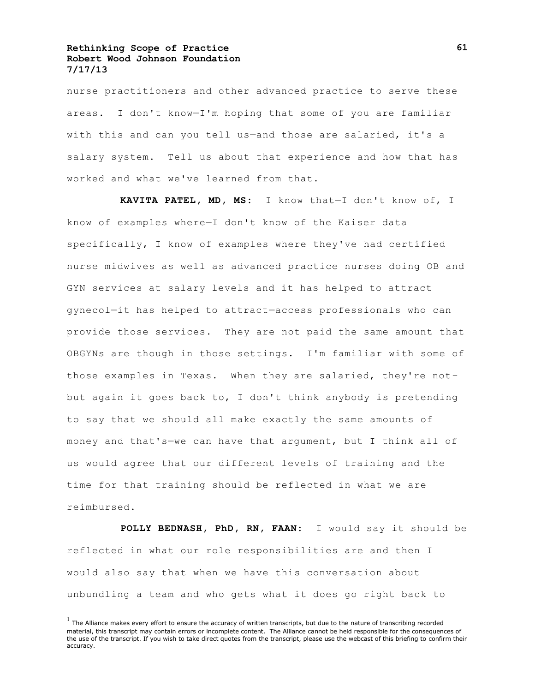nurse practitioners and other advanced practice to serve these areas. I don't know—I'm hoping that some of you are familiar with this and can you tell us-and those are salaried, it's a salary system. Tell us about that experience and how that has worked and what we've learned from that.

**KAVITA PATEL, MD, MS:** I know that—I don't know of, I know of examples where—I don't know of the Kaiser data specifically, I know of examples where they've had certified nurse midwives as well as advanced practice nurses doing OB and GYN services at salary levels and it has helped to attract gynecol—it has helped to attract—access professionals who can provide those services. They are not paid the same amount that OBGYNs are though in those settings. I'm familiar with some of those examples in Texas. When they are salaried, they're not– but again it goes back to, I don't think anybody is pretending to say that we should all make exactly the same amounts of money and that's—we can have that argument, but I think all of us would agree that our different levels of training and the time for that training should be reflected in what we are reimbursed.

**POLLY BEDNASH, PhD, RN, FAAN:** I would say it should be reflected in what our role responsibilities are and then I would also say that when we have this conversation about unbundling a team and who gets what it does go right back to

 $<sup>1</sup>$  The Alliance makes every effort to ensure the accuracy of written transcripts, but due to the nature of transcribing recorded</sup> material, this transcript may contain errors or incomplete content. The Alliance cannot be held responsible for the consequences of the use of the transcript. If you wish to take direct quotes from the transcript, please use the webcast of this briefing to confirm their accuracy.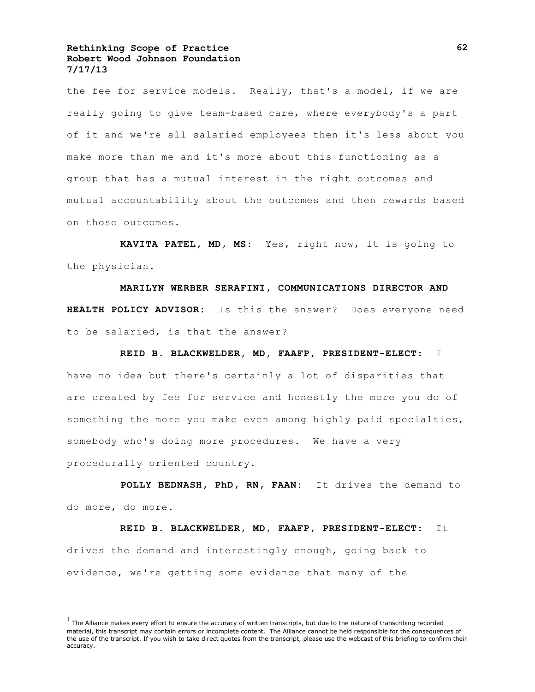the fee for service models. Really, that's a model, if we are really going to give team-based care, where everybody's a part of it and we're all salaried employees then it's less about you make more than me and it's more about this functioning as a group that has a mutual interest in the right outcomes and mutual accountability about the outcomes and then rewards based on those outcomes.

**KAVITA PATEL, MD, MS:** Yes, right now, it is going to the physician.

**MARILYN WERBER SERAFINI, COMMUNICATIONS DIRECTOR AND HEALTH POLICY ADVISOR:** Is this the answer? Does everyone need to be salaried, is that the answer?

**REID B. BLACKWELDER, MD, FAAFP, PRESIDENT-ELECT:** I

have no idea but there's certainly a lot of disparities that are created by fee for service and honestly the more you do of something the more you make even among highly paid specialties, somebody who's doing more procedures. We have a very procedurally oriented country.

**POLLY BEDNASH, PhD, RN, FAAN:** It drives the demand to do more, do more.

**REID B. BLACKWELDER, MD, FAAFP, PRESIDENT-ELECT:** It drives the demand and interestingly enough, going back to evidence, we're getting some evidence that many of the

 $<sup>1</sup>$  The Alliance makes every effort to ensure the accuracy of written transcripts, but due to the nature of transcribing recorded</sup> material, this transcript may contain errors or incomplete content. The Alliance cannot be held responsible for the consequences of the use of the transcript. If you wish to take direct quotes from the transcript, please use the webcast of this briefing to confirm their accuracy.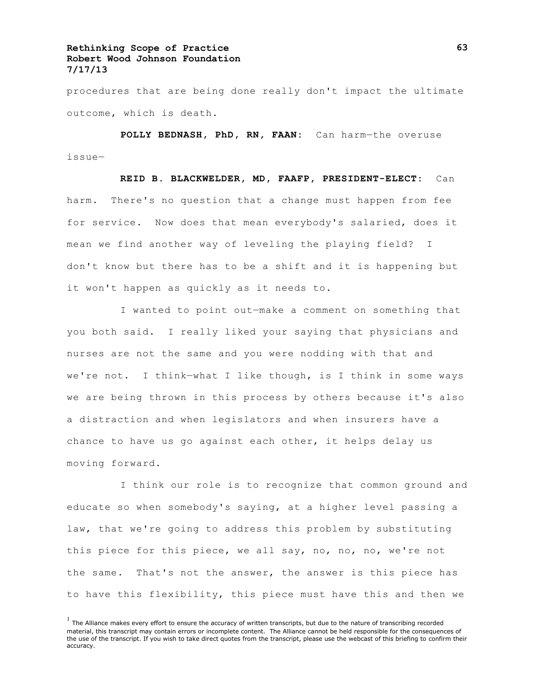procedures that are being done really don't impact the ultimate outcome, which is death.

**POLLY BEDNASH, PhD, RN, FAAN:** Can harm—the overuse issue—

**REID B. BLACKWELDER, MD, FAAFP, PRESIDENT-ELECT:** Can harm. There's no question that a change must happen from fee for service. Now does that mean everybody's salaried, does it mean we find another way of leveling the playing field? I don't know but there has to be a shift and it is happening but it won't happen as quickly as it needs to.

I wanted to point out—make a comment on something that you both said. I really liked your saying that physicians and nurses are not the same and you were nodding with that and we're not. I think—what I like though, is I think in some ways we are being thrown in this process by others because it's also a distraction and when legislators and when insurers have a chance to have us go against each other, it helps delay us moving forward.

I think our role is to recognize that common ground and educate so when somebody's saying, at a higher level passing a law, that we're going to address this problem by substituting this piece for this piece, we all say, no, no, no, we're not the same. That's not the answer, the answer is this piece has to have this flexibility, this piece must have this and then we

 $<sup>1</sup>$  The Alliance makes every effort to ensure the accuracy of written transcripts, but due to the nature of transcribing recorded</sup> material, this transcript may contain errors or incomplete content. The Alliance cannot be held responsible for the consequences of the use of the transcript. If you wish to take direct quotes from the transcript, please use the webcast of this briefing to confirm their accuracy.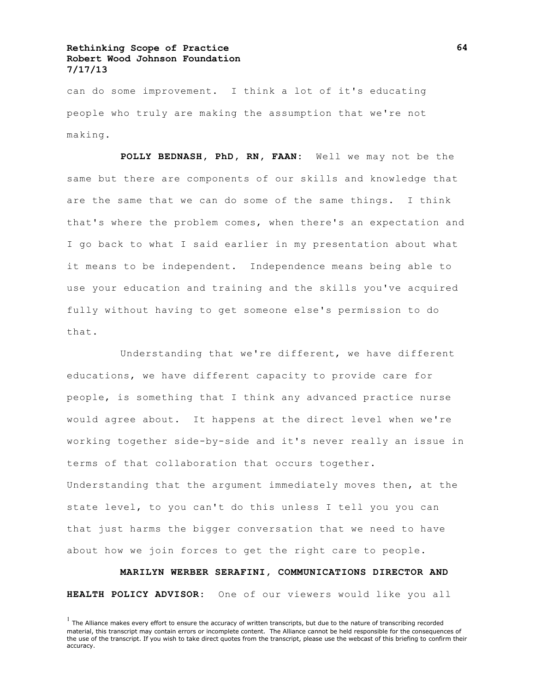can do some improvement. I think a lot of it's educating people who truly are making the assumption that we're not making.

**POLLY BEDNASH, PhD, RN, FAAN:** Well we may not be the same but there are components of our skills and knowledge that are the same that we can do some of the same things. I think that's where the problem comes, when there's an expectation and I go back to what I said earlier in my presentation about what it means to be independent. Independence means being able to use your education and training and the skills you've acquired fully without having to get someone else's permission to do that.

Understanding that we're different, we have different educations, we have different capacity to provide care for people, is something that I think any advanced practice nurse would agree about. It happens at the direct level when we're working together side-by-side and it's never really an issue in terms of that collaboration that occurs together. Understanding that the argument immediately moves then, at the state level, to you can't do this unless I tell you you can that just harms the bigger conversation that we need to have about how we join forces to get the right care to people.

**MARILYN WERBER SERAFINI, COMMUNICATIONS DIRECTOR AND HEALTH POLICY ADVISOR:** One of our viewers would like you all

 $<sup>1</sup>$  The Alliance makes every effort to ensure the accuracy of written transcripts, but due to the nature of transcribing recorded</sup> material, this transcript may contain errors or incomplete content. The Alliance cannot be held responsible for the consequences of the use of the transcript. If you wish to take direct quotes from the transcript, please use the webcast of this briefing to confirm their accuracy.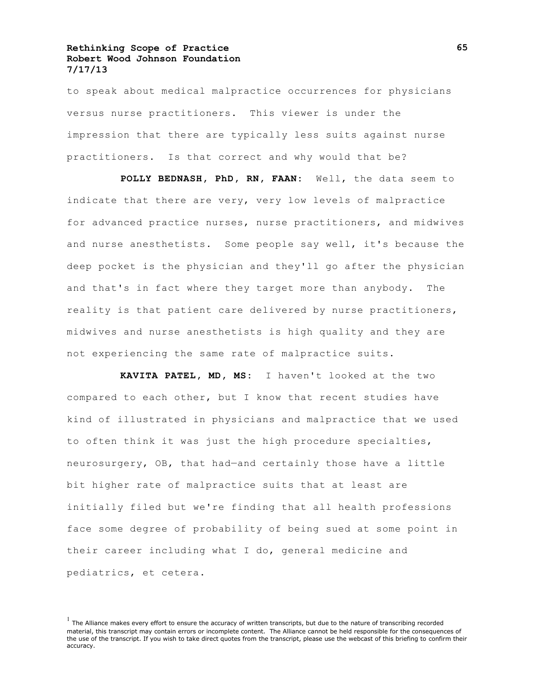to speak about medical malpractice occurrences for physicians versus nurse practitioners. This viewer is under the impression that there are typically less suits against nurse practitioners. Is that correct and why would that be?

**POLLY BEDNASH, PhD, RN, FAAN:** Well, the data seem to indicate that there are very, very low levels of malpractice for advanced practice nurses, nurse practitioners, and midwives and nurse anesthetists. Some people say well, it's because the deep pocket is the physician and they'll go after the physician and that's in fact where they target more than anybody. The reality is that patient care delivered by nurse practitioners, midwives and nurse anesthetists is high quality and they are not experiencing the same rate of malpractice suits.

**KAVITA PATEL, MD, MS:** I haven't looked at the two compared to each other, but I know that recent studies have kind of illustrated in physicians and malpractice that we used to often think it was just the high procedure specialties, neurosurgery, OB, that had—and certainly those have a little bit higher rate of malpractice suits that at least are initially filed but we're finding that all health professions face some degree of probability of being sued at some point in their career including what I do, general medicine and pediatrics, et cetera.

 $<sup>1</sup>$  The Alliance makes every effort to ensure the accuracy of written transcripts, but due to the nature of transcribing recorded</sup> material, this transcript may contain errors or incomplete content. The Alliance cannot be held responsible for the consequences of the use of the transcript. If you wish to take direct quotes from the transcript, please use the webcast of this briefing to confirm their accuracy.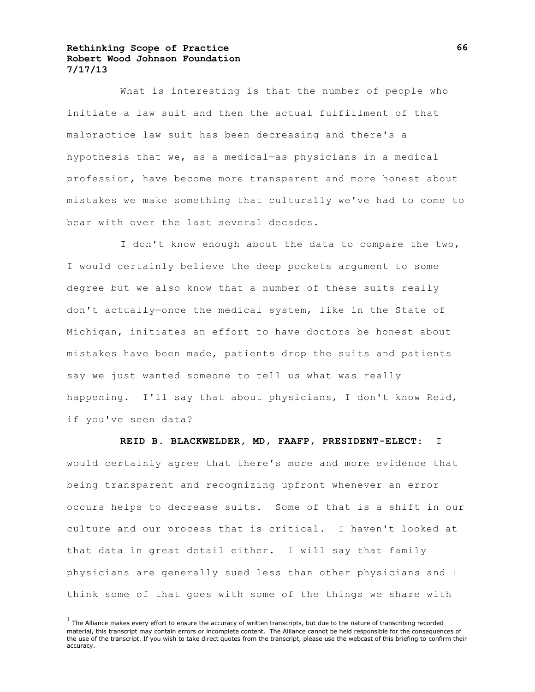What is interesting is that the number of people who initiate a law suit and then the actual fulfillment of that malpractice law suit has been decreasing and there's a hypothesis that we, as a medical—as physicians in a medical profession, have become more transparent and more honest about mistakes we make something that culturally we've had to come to bear with over the last several decades.

I don't know enough about the data to compare the two, I would certainly believe the deep pockets argument to some degree but we also know that a number of these suits really don't actually—once the medical system, like in the State of Michigan, initiates an effort to have doctors be honest about mistakes have been made, patients drop the suits and patients say we just wanted someone to tell us what was really happening. I'll say that about physicians, I don't know Reid, if you've seen data?

#### **REID B. BLACKWELDER, MD, FAAFP, PRESIDENT-ELECT:** I

would certainly agree that there's more and more evidence that being transparent and recognizing upfront whenever an error occurs helps to decrease suits. Some of that is a shift in our culture and our process that is critical. I haven't looked at that data in great detail either. I will say that family physicians are generally sued less than other physicians and I think some of that goes with some of the things we share with

 $<sup>1</sup>$  The Alliance makes every effort to ensure the accuracy of written transcripts, but due to the nature of transcribing recorded</sup> material, this transcript may contain errors or incomplete content. The Alliance cannot be held responsible for the consequences of the use of the transcript. If you wish to take direct quotes from the transcript, please use the webcast of this briefing to confirm their accuracy.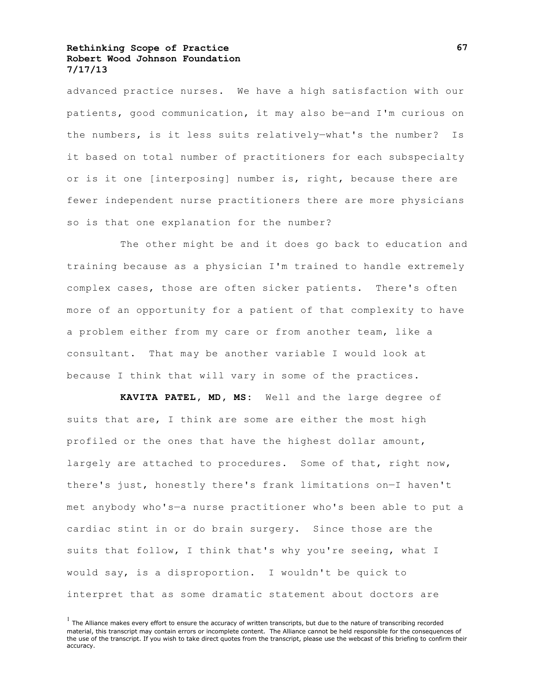advanced practice nurses. We have a high satisfaction with our patients, good communication, it may also be—and I'm curious on the numbers, is it less suits relatively—what's the number? Is it based on total number of practitioners for each subspecialty or is it one [interposing] number is, right, because there are fewer independent nurse practitioners there are more physicians so is that one explanation for the number?

The other might be and it does go back to education and training because as a physician I'm trained to handle extremely complex cases, those are often sicker patients. There's often more of an opportunity for a patient of that complexity to have a problem either from my care or from another team, like a consultant. That may be another variable I would look at because I think that will vary in some of the practices.

**KAVITA PATEL, MD, MS:** Well and the large degree of suits that are, I think are some are either the most high profiled or the ones that have the highest dollar amount, largely are attached to procedures. Some of that, right now, there's just, honestly there's frank limitations on—I haven't met anybody who's—a nurse practitioner who's been able to put a cardiac stint in or do brain surgery. Since those are the suits that follow, I think that's why you're seeing, what I would say, is a disproportion. I wouldn't be quick to interpret that as some dramatic statement about doctors are

 $<sup>1</sup>$  The Alliance makes every effort to ensure the accuracy of written transcripts, but due to the nature of transcribing recorded</sup> material, this transcript may contain errors or incomplete content. The Alliance cannot be held responsible for the consequences of the use of the transcript. If you wish to take direct quotes from the transcript, please use the webcast of this briefing to confirm their accuracy.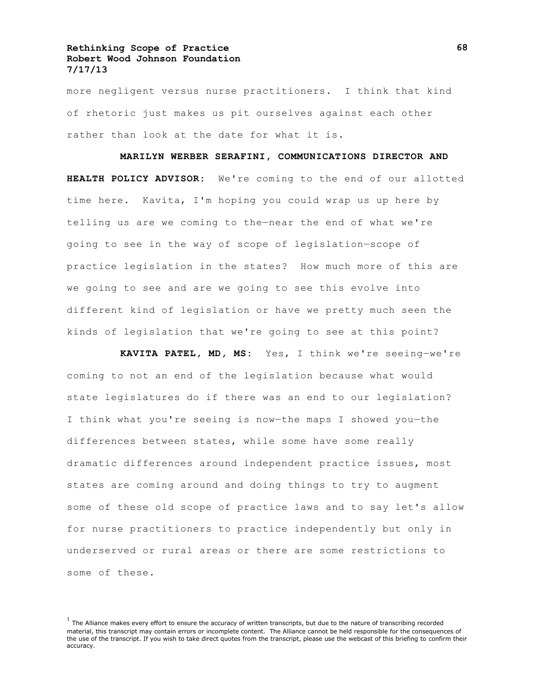more negligent versus nurse practitioners. I think that kind of rhetoric just makes us pit ourselves against each other rather than look at the date for what it is.

#### **MARILYN WERBER SERAFINI, COMMUNICATIONS DIRECTOR AND**

**HEALTH POLICY ADVISOR:** We're coming to the end of our allotted time here. Kavita, I'm hoping you could wrap us up here by telling us are we coming to the—near the end of what we're going to see in the way of scope of legislation—scope of practice legislation in the states? How much more of this are we going to see and are we going to see this evolve into different kind of legislation or have we pretty much seen the kinds of legislation that we're going to see at this point?

**KAVITA PATEL, MD, MS:** Yes, I think we're seeing—we're coming to not an end of the legislation because what would state legislatures do if there was an end to our legislation? I think what you're seeing is now—the maps I showed you—the differences between states, while some have some really dramatic differences around independent practice issues, most states are coming around and doing things to try to augment some of these old scope of practice laws and to say let's allow for nurse practitioners to practice independently but only in underserved or rural areas or there are some restrictions to some of these.

 $<sup>1</sup>$  The Alliance makes every effort to ensure the accuracy of written transcripts, but due to the nature of transcribing recorded</sup> material, this transcript may contain errors or incomplete content. The Alliance cannot be held responsible for the consequences of the use of the transcript. If you wish to take direct quotes from the transcript, please use the webcast of this briefing to confirm their accuracy.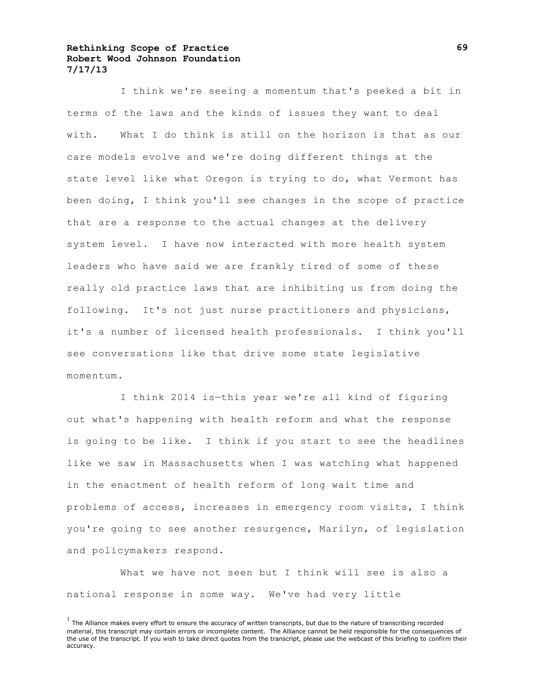I think we're seeing a momentum that's peeked a bit in terms of the laws and the kinds of issues they want to deal with. What I do think is still on the horizon is that as our care models evolve and we're doing different things at the state level like what Oregon is trying to do, what Vermont has been doing, I think you'll see changes in the scope of practice that are a response to the actual changes at the delivery system level. I have now interacted with more health system leaders who have said we are frankly tired of some of these really old practice laws that are inhibiting us from doing the following. It's not just nurse practitioners and physicians, it's a number of licensed health professionals. I think you'll see conversations like that drive some state legislative momentum.

I think 2014 is—this year we're all kind of figuring out what's happening with health reform and what the response is going to be like. I think if you start to see the headlines like we saw in Massachusetts when I was watching what happened in the enactment of health reform of long wait time and problems of access, increases in emergency room visits, I think you're going to see another resurgence, Marilyn, of legislation and policymakers respond.

What we have not seen but I think will see is also a national response in some way. We've had very little

 $<sup>1</sup>$  The Alliance makes every effort to ensure the accuracy of written transcripts, but due to the nature of transcribing recorded</sup> material, this transcript may contain errors or incomplete content. The Alliance cannot be held responsible for the consequences of the use of the transcript. If you wish to take direct quotes from the transcript, please use the webcast of this briefing to confirm their accuracy.